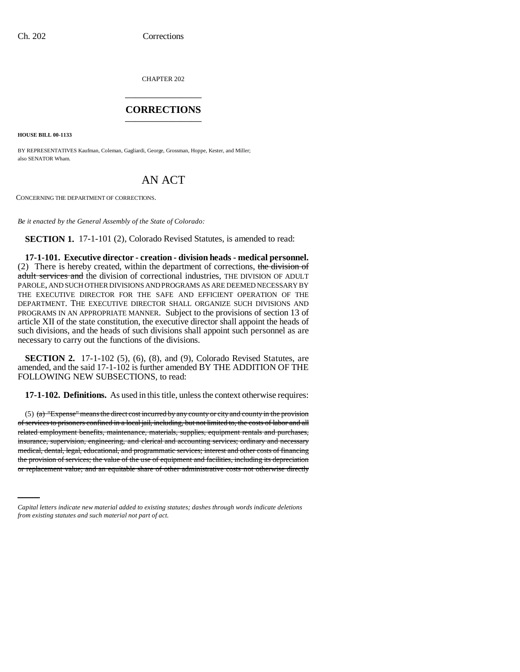CHAPTER 202 \_\_\_\_\_\_\_\_\_\_\_\_\_\_\_

### **CORRECTIONS** \_\_\_\_\_\_\_\_\_\_\_\_\_\_\_

**HOUSE BILL 00-1133** 

BY REPRESENTATIVES Kaufman, Coleman, Gagliardi, George, Grossman, Hoppe, Kester, and Miller; also SENATOR Wham.

# AN ACT

CONCERNING THE DEPARTMENT OF CORRECTIONS.

*Be it enacted by the General Assembly of the State of Colorado:*

**SECTION 1.** 17-1-101 (2), Colorado Revised Statutes, is amended to read:

**17-1-101. Executive director - creation - division heads - medical personnel.** (2) There is hereby created, within the department of corrections, the division of adult services and the division of correctional industries, THE DIVISION OF ADULT PAROLE, AND SUCH OTHER DIVISIONS AND PROGRAMS AS ARE DEEMED NECESSARY BY THE EXECUTIVE DIRECTOR FOR THE SAFE AND EFFICIENT OPERATION OF THE DEPARTMENT. THE EXECUTIVE DIRECTOR SHALL ORGANIZE SUCH DIVISIONS AND PROGRAMS IN AN APPROPRIATE MANNER. Subject to the provisions of section 13 of article XII of the state constitution, the executive director shall appoint the heads of such divisions, and the heads of such divisions shall appoint such personnel as are necessary to carry out the functions of the divisions.

**SECTION 2.** 17-1-102 (5), (6), (8), and (9), Colorado Revised Statutes, are amended, and the said 17-1-102 is further amended BY THE ADDITION OF THE FOLLOWING NEW SUBSECTIONS, to read:

**17-1-102. Definitions.** As used in this title, unless the context otherwise requires:

medical, dental, legal, educational, and programmatic services; interest and other costs of financing (5)  $(a)$  "Expense" means the direct cost incurred by any county or city and county in the provision of services to prisoners confined in a local jail, including, but not limited to, the costs of labor and all related employment benefits, maintenance, materials, supplies, equipment rentals and purchases, insurance, supervision, engineering, and clerical and accounting services; ordinary and necessary the provision of services; the value of the use of equipment and facilities, including its depreciation or replacement value; and an equitable share of other administrative costs not otherwise directly

*Capital letters indicate new material added to existing statutes; dashes through words indicate deletions from existing statutes and such material not part of act.*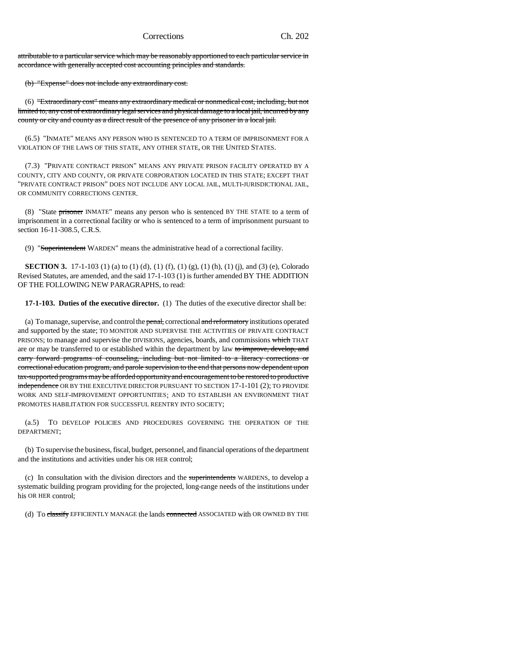attributable to a particular service which may be reasonably apportioned to each particular service in accordance with generally accepted cost accounting principles and standards.

(b) "Expense" does not include any extraordinary cost.

(6) "Extraordinary cost" means any extraordinary medical or nonmedical cost, including, but not limited to, any cost of extraordinary legal services and physical damage to a local jail, incurred by any county or city and county as a direct result of the presence of any prisoner in a local jail.

(6.5) "INMATE" MEANS ANY PERSON WHO IS SENTENCED TO A TERM OF IMPRISONMENT FOR A VIOLATION OF THE LAWS OF THIS STATE, ANY OTHER STATE, OR THE UNITED STATES.

(7.3) "PRIVATE CONTRACT PRISON" MEANS ANY PRIVATE PRISON FACILITY OPERATED BY A COUNTY, CITY AND COUNTY, OR PRIVATE CORPORATION LOCATED IN THIS STATE; EXCEPT THAT "PRIVATE CONTRACT PRISON" DOES NOT INCLUDE ANY LOCAL JAIL, MULTI-JURISDICTIONAL JAIL, OR COMMUNITY CORRECTIONS CENTER.

(8) "State prisoner INMATE" means any person who is sentenced BY THE STATE to a term of imprisonment in a correctional facility or who is sentenced to a term of imprisonment pursuant to section 16-11-308.5, C.R.S.

(9) "Superintendent WARDEN" means the administrative head of a correctional facility.

**SECTION 3.** 17-1-103 (1) (a) to (1) (d), (1) (f), (1) (g), (1) (h), (1) (j), and (3) (e), Colorado Revised Statutes, are amended, and the said 17-1-103 (1) is further amended BY THE ADDITION OF THE FOLLOWING NEW PARAGRAPHS, to read:

**17-1-103. Duties of the executive director.** (1) The duties of the executive director shall be:

(a) To manage, supervise, and control the penal, correctional and reformatory institutions operated and supported by the state; TO MONITOR AND SUPERVISE THE ACTIVITIES OF PRIVATE CONTRACT PRISONS; to manage and supervise the DIVISIONS, agencies, boards, and commissions which THAT are or may be transferred to or established within the department by law to improve, develop, and carry forward programs of counseling, including but not limited to a literacy corrections or correctional education program, and parole supervision to the end that persons now dependent upon tax-supported programs may be afforded opportunity and encouragement to be restored to productive independence OR BY THE EXECUTIVE DIRECTOR PURSUANT TO SECTION 17-1-101 (2); TO PROVIDE WORK AND SELF-IMPROVEMENT OPPORTUNITIES; AND TO ESTABLISH AN ENVIRONMENT THAT PROMOTES HABILITATION FOR SUCCESSFUL REENTRY INTO SOCIETY;

(a.5) TO DEVELOP POLICIES AND PROCEDURES GOVERNING THE OPERATION OF THE DEPARTMENT;

(b) To supervise the business, fiscal, budget, personnel, and financial operations of the department and the institutions and activities under his OR HER control;

(c) In consultation with the division directors and the superintendents WARDENS, to develop a systematic building program providing for the projected, long-range needs of the institutions under his OR HER control;

(d) To classify EFFICIENTLY MANAGE the lands connected ASSOCIATED with OR OWNED BY THE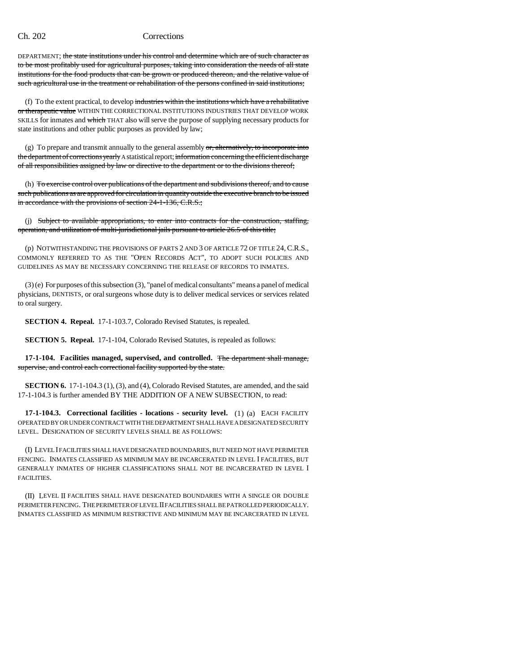DEPARTMENT; the state institutions under his control and determine which are of such character as to be most profitably used for agricultural purposes, taking into consideration the needs of all state institutions for the food products that can be grown or produced thereon, and the relative value of such agricultural use in the treatment or rehabilitation of the persons confined in said institutions;

(f) To the extent practical, to develop industries within the institutions which have a rehabilitative or therapeutic value WITHIN THE CORRECTIONAL INSTITUTIONS INDUSTRIES THAT DEVELOP WORK SKILLS for inmates and which THAT also will serve the purpose of supplying necessary products for state institutions and other public purposes as provided by law;

(g) To prepare and transmit annually to the general assembly  $\sigma$ , alternatively, to incorporate into the department of corrections yearly A statistical report; information concerning the efficient discharge of all responsibilities assigned by law or directive to the department or to the divisions thereof;

(h) To exercise control over publications of the department and subdivisions thereof, and to cause such publications as are approved for circulation in quantity outside the executive branch to be issued in accordance with the provisions of section 24-1-136, C.R.S.;

(j) Subject to available appropriations, to enter into contracts for the construction, staffing, operation, and utilization of multi-jurisdictional jails pursuant to article 26.5 of this title;

(p) NOTWITHSTANDING THE PROVISIONS OF PARTS 2 AND 3 OF ARTICLE 72 OF TITLE 24,C.R.S., COMMONLY REFERRED TO AS THE "OPEN RECORDS ACT", TO ADOPT SUCH POLICIES AND GUIDELINES AS MAY BE NECESSARY CONCERNING THE RELEASE OF RECORDS TO INMATES.

(3) (e) For purposes of this subsection (3), "panel of medical consultants" means a panel of medical physicians, DENTISTS, or oral surgeons whose duty is to deliver medical services or services related to oral surgery.

**SECTION 4. Repeal.** 17-1-103.7, Colorado Revised Statutes, is repealed.

**SECTION 5. Repeal.** 17-1-104, Colorado Revised Statutes, is repealed as follows:

**17-1-104. Facilities managed, supervised, and controlled.** The department shall manage, supervise, and control each correctional facility supported by the state.

**SECTION 6.** 17-1-104.3 (1), (3), and (4), Colorado Revised Statutes, are amended, and the said 17-1-104.3 is further amended BY THE ADDITION OF A NEW SUBSECTION, to read:

**17-1-104.3. Correctional facilities - locations - security level.** (1) (a) EACH FACILITY OPERATED BY OR UNDER CONTRACT WITH THE DEPARTMENT SHALL HAVE A DESIGNATED SECURITY LEVEL. DESIGNATION OF SECURITY LEVELS SHALL BE AS FOLLOWS:

(I) LEVEL I FACILITIES SHALL HAVE DESIGNATED BOUNDARIES, BUT NEED NOT HAVE PERIMETER FENCING. INMATES CLASSIFIED AS MINIMUM MAY BE INCARCERATED IN LEVEL I FACILITIES, BUT GENERALLY INMATES OF HIGHER CLASSIFICATIONS SHALL NOT BE INCARCERATED IN LEVEL I FACILITIES.

(II) LEVEL II FACILITIES SHALL HAVE DESIGNATED BOUNDARIES WITH A SINGLE OR DOUBLE PERIMETER FENCING. THE PERIMETER OF LEVEL II FACILITIES SHALL BE PATROLLED PERIODICALLY. INMATES CLASSIFIED AS MINIMUM RESTRICTIVE AND MINIMUM MAY BE INCARCERATED IN LEVEL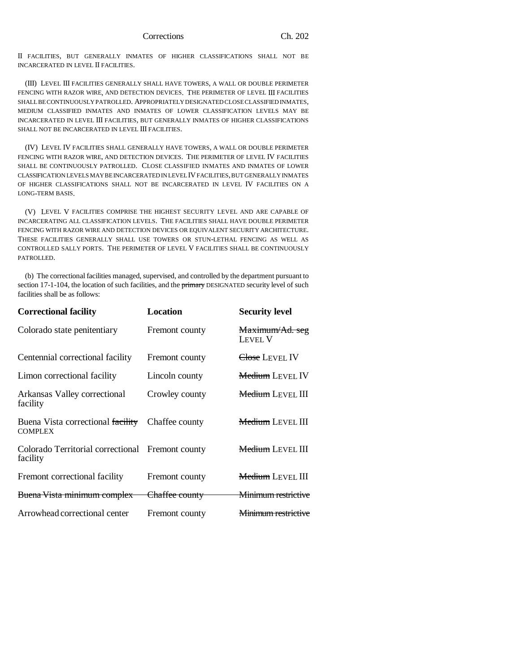II FACILITIES, BUT GENERALLY INMATES OF HIGHER CLASSIFICATIONS SHALL NOT BE INCARCERATED IN LEVEL II FACILITIES.

(III) LEVEL III FACILITIES GENERALLY SHALL HAVE TOWERS, A WALL OR DOUBLE PERIMETER FENCING WITH RAZOR WIRE, AND DETECTION DEVICES. THE PERIMETER OF LEVEL III FACILITIES SHALL BE CONTINUOUSLY PATROLLED. APPROPRIATELY DESIGNATED CLOSE CLASSIFIED INMATES, MEDIUM CLASSIFIED INMATES AND INMATES OF LOWER CLASSIFICATION LEVELS MAY BE INCARCERATED IN LEVEL III FACILITIES, BUT GENERALLY INMATES OF HIGHER CLASSIFICATIONS SHALL NOT BE INCARCERATED IN LEVEL III FACILITIES.

(IV) LEVEL IV FACILITIES SHALL GENERALLY HAVE TOWERS, A WALL OR DOUBLE PERIMETER FENCING WITH RAZOR WIRE, AND DETECTION DEVICES. THE PERIMETER OF LEVEL IV FACILITIES SHALL BE CONTINUOUSLY PATROLLED. CLOSE CLASSIFIED INMATES AND INMATES OF LOWER CLASSIFICATION LEVELS MAY BE INCARCERATED IN LEVEL IV FACILITIES, BUT GENERALLY INMATES OF HIGHER CLASSIFICATIONS SHALL NOT BE INCARCERATED IN LEVEL IV FACILITIES ON A LONG-TERM BASIS.

(V) LEVEL V FACILITIES COMPRISE THE HIGHEST SECURITY LEVEL AND ARE CAPABLE OF INCARCERATING ALL CLASSIFICATION LEVELS. THE FACILITIES SHALL HAVE DOUBLE PERIMETER FENCING WITH RAZOR WIRE AND DETECTION DEVICES OR EQUIVALENT SECURITY ARCHITECTURE. THESE FACILITIES GENERALLY SHALL USE TOWERS OR STUN-LETHAL FENCING AS WELL AS CONTROLLED SALLY PORTS. THE PERIMETER OF LEVEL V FACILITIES SHALL BE CONTINUOUSLY PATROLLED.

(b) The correctional facilities managed, supervised, and controlled by the department pursuant to section 17-1-104, the location of such facilities, and the *primary* DESIGNATED security level of such facilities shall be as follows:

| <b>Correctional facility</b>                                 | Location                  | <b>Security level</b>          |
|--------------------------------------------------------------|---------------------------|--------------------------------|
| Colorado state penitentiary                                  | Fremont county            | Maximum/Ad. seg<br>LEVEL V     |
| Centennial correctional facility                             | Fremont county            | <del>Close</del> Level IV      |
| Limon correctional facility                                  | Lincoln county            | <b>Medium</b> LEVEL IV         |
| Arkansas Valley correctional<br>facility                     | Crowley county            | <b>Medium</b> LEVEL III        |
| Buena Vista correctional facility<br><b>COMPLEX</b>          | Chaffee county            | <b>Medium</b> LEVEL III        |
| Colorado Territorial correctional Fremont county<br>facility |                           | <b>Medium</b> LEVEL III        |
| Fremont correctional facility                                | Fremont county            | <b>Medium LEVEL III</b>        |
| Buena Vista minimum complex                                  | <del>Chaffee county</del> | <del>Minimum restrictive</del> |
| Arrowhead correctional center                                | Fremont county            | <del>Minimum restrictive</del> |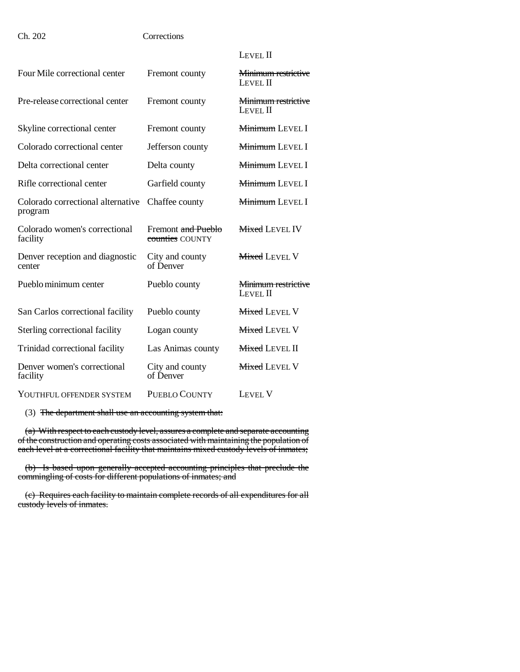|                                       | <b>LEVEL II</b>                        |
|---------------------------------------|----------------------------------------|
| Fremont county                        | <b>Minimum restrictive</b><br>LEVEL II |
| Fremont county                        | Minimum restrictive<br>LEVEL II        |
| Fremont county                        | Minimum LEVEL I                        |
| Jefferson county                      | <b>Minimum LEVEL I</b>                 |
| Delta county                          | Minimum LEVEL I                        |
| Garfield county                       | <b>Minimum LEVEL I</b>                 |
| Chaffee county                        | Minimum LEVEL I                        |
| Fremont and Pueblo<br>counties COUNTY | <b>Mixed LEVEL IV</b>                  |
| City and county<br>of Denver          | <b>Mixed LEVEL V</b>                   |
| Pueblo county                         | Minimum restrictive<br>LEVEL II        |
| Pueblo county                         | <b>Mixed LEVEL V</b>                   |
| Logan county                          | <b>Mixed LEVEL V</b>                   |
| Las Animas county                     | <b>Mixed LEVEL II</b>                  |
| City and county<br>of Denver          | <b>Mixed LEVEL V</b>                   |
| <b>PUEBLO COUNTY</b>                  | <b>LEVEL V</b>                         |
|                                       |                                        |

(3) The department shall use an accounting system that:

(a) With respect to each custody level, assures a complete and separate accounting of the construction and operating costs associated with maintaining the population of each level at a correctional facility that maintains mixed custody levels of inmates;

(b) Is based upon generally accepted accounting principles that preclude the commingling of costs for different populations of inmates; and

(c) Requires each facility to maintain complete records of all expenditures for all custody levels of inmates.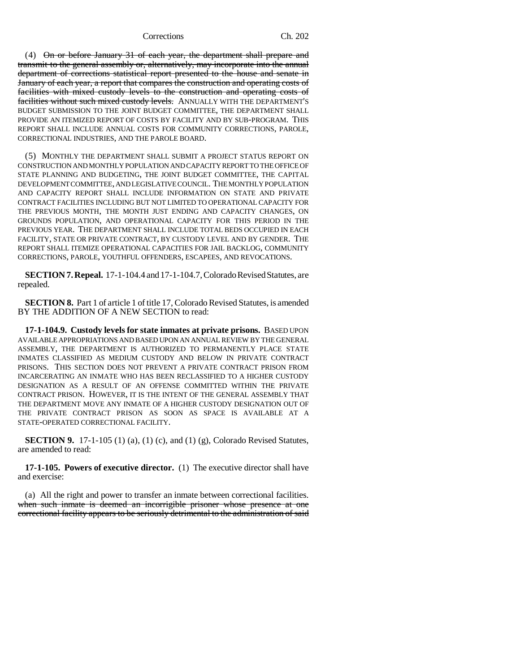(4) On or before January 31 of each year, the department shall prepare and transmit to the general assembly or, alternatively, may incorporate into the annual department of corrections statistical report presented to the house and senate in January of each year, a report that compares the construction and operating costs of facilities with mixed custody levels to the construction and operating costs of facilities without such mixed custody levels. ANNUALLY WITH THE DEPARTMENT'S BUDGET SUBMISSION TO THE JOINT BUDGET COMMITTEE, THE DEPARTMENT SHALL PROVIDE AN ITEMIZED REPORT OF COSTS BY FACILITY AND BY SUB-PROGRAM. THIS REPORT SHALL INCLUDE ANNUAL COSTS FOR COMMUNITY CORRECTIONS, PAROLE, CORRECTIONAL INDUSTRIES, AND THE PAROLE BOARD.

(5) MONTHLY THE DEPARTMENT SHALL SUBMIT A PROJECT STATUS REPORT ON CONSTRUCTION AND MONTHLY POPULATION AND CAPACITY REPORT TO THE OFFICE OF STATE PLANNING AND BUDGETING, THE JOINT BUDGET COMMITTEE, THE CAPITAL DEVELOPMENT COMMITTEE, AND LEGISLATIVE COUNCIL. THE MONTHLY POPULATION AND CAPACITY REPORT SHALL INCLUDE INFORMATION ON STATE AND PRIVATE CONTRACT FACILITIES INCLUDING BUT NOT LIMITED TO OPERATIONAL CAPACITY FOR THE PREVIOUS MONTH, THE MONTH JUST ENDING AND CAPACITY CHANGES, ON GROUNDS POPULATION, AND OPERATIONAL CAPACITY FOR THIS PERIOD IN THE PREVIOUS YEAR. THE DEPARTMENT SHALL INCLUDE TOTAL BEDS OCCUPIED IN EACH FACILITY, STATE OR PRIVATE CONTRACT, BY CUSTODY LEVEL AND BY GENDER. THE REPORT SHALL ITEMIZE OPERATIONAL CAPACITIES FOR JAIL BACKLOG, COMMUNITY CORRECTIONS, PAROLE, YOUTHFUL OFFENDERS, ESCAPEES, AND REVOCATIONS.

**SECTION 7. Repeal.** 17-1-104.4 and 17-1-104.7, Colorado Revised Statutes, are repealed.

**SECTION 8.** Part 1 of article 1 of title 17, Colorado Revised Statutes, is amended BY THE ADDITION OF A NEW SECTION to read:

**17-1-104.9. Custody levels for state inmates at private prisons.** BASED UPON AVAILABLE APPROPRIATIONS AND BASED UPON AN ANNUAL REVIEW BY THE GENERAL ASSEMBLY, THE DEPARTMENT IS AUTHORIZED TO PERMANENTLY PLACE STATE INMATES CLASSIFIED AS MEDIUM CUSTODY AND BELOW IN PRIVATE CONTRACT PRISONS. THIS SECTION DOES NOT PREVENT A PRIVATE CONTRACT PRISON FROM INCARCERATING AN INMATE WHO HAS BEEN RECLASSIFIED TO A HIGHER CUSTODY DESIGNATION AS A RESULT OF AN OFFENSE COMMITTED WITHIN THE PRIVATE CONTRACT PRISON. HOWEVER, IT IS THE INTENT OF THE GENERAL ASSEMBLY THAT THE DEPARTMENT MOVE ANY INMATE OF A HIGHER CUSTODY DESIGNATION OUT OF THE PRIVATE CONTRACT PRISON AS SOON AS SPACE IS AVAILABLE AT A STATE-OPERATED CORRECTIONAL FACILITY.

**SECTION 9.** 17-1-105 (1) (a), (1) (c), and (1) (g), Colorado Revised Statutes, are amended to read:

**17-1-105. Powers of executive director.** (1) The executive director shall have and exercise:

(a) All the right and power to transfer an inmate between correctional facilities. when such inmate is deemed an incorrigible prisoner whose presence at one correctional facility appears to be seriously detrimental to the administration of said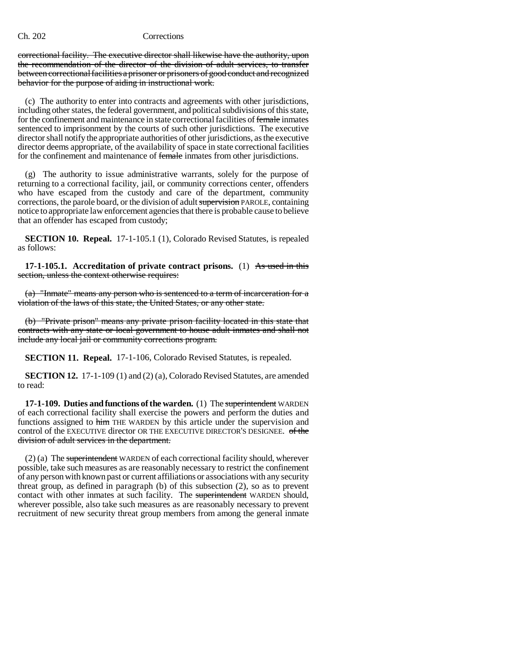correctional facility. The executive director shall likewise have the authority, upon the recommendation of the director of the division of adult services, to transfer between correctional facilities a prisoner or prisoners of good conduct and recognized behavior for the purpose of aiding in instructional work.

(c) The authority to enter into contracts and agreements with other jurisdictions, including other states, the federal government, and political subdivisions of this state, for the confinement and maintenance in state correctional facilities of female inmates sentenced to imprisonment by the courts of such other jurisdictions. The executive director shall notify the appropriate authorities of other jurisdictions, as the executive director deems appropriate, of the availability of space in state correctional facilities for the confinement and maintenance of female inmates from other jurisdictions.

(g) The authority to issue administrative warrants, solely for the purpose of returning to a correctional facility, jail, or community corrections center, offenders who have escaped from the custody and care of the department, community corrections, the parole board, or the division of adult supervision PAROLE, containing notice to appropriate law enforcement agencies that there is probable cause to believe that an offender has escaped from custody;

**SECTION 10. Repeal.** 17-1-105.1 (1), Colorado Revised Statutes, is repealed as follows:

**17-1-105.1.** Accreditation of private contract prisons. (1) As used in this section, unless the context otherwise requires:

(a) "Inmate" means any person who is sentenced to a term of incarceration for a violation of the laws of this state, the United States, or any other state.

(b) "Private prison" means any private prison facility located in this state that contracts with any state or local government to house adult inmates and shall not include any local jail or community corrections program.

**SECTION 11. Repeal.** 17-1-106, Colorado Revised Statutes, is repealed.

**SECTION 12.** 17-1-109 (1) and (2) (a), Colorado Revised Statutes, are amended to read:

**17-1-109. Duties and functions of the warden.** (1) The superintendent WARDEN of each correctional facility shall exercise the powers and perform the duties and functions assigned to him THE WARDEN by this article under the supervision and control of the EXECUTIVE director OR THE EXECUTIVE DIRECTOR'S DESIGNEE. of the division of adult services in the department.

(2) (a) The superintendent WARDEN of each correctional facility should, wherever possible, take such measures as are reasonably necessary to restrict the confinement of any person with known past or current affiliations or associations with any security threat group, as defined in paragraph (b) of this subsection (2), so as to prevent contact with other inmates at such facility. The superintendent WARDEN should, wherever possible, also take such measures as are reasonably necessary to prevent recruitment of new security threat group members from among the general inmate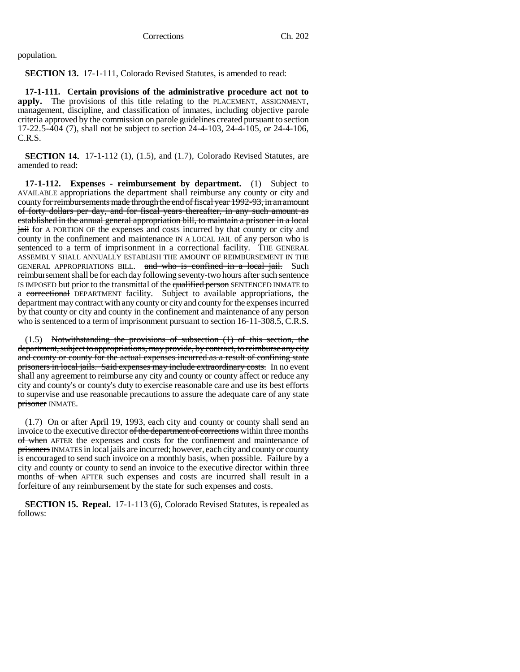population.

**SECTION 13.** 17-1-111, Colorado Revised Statutes, is amended to read:

**17-1-111. Certain provisions of the administrative procedure act not to apply.** The provisions of this title relating to the PLACEMENT, ASSIGNMENT, management, discipline, and classification of inmates, including objective parole criteria approved by the commission on parole guidelines created pursuant to section 17-22.5-404 (7), shall not be subject to section 24-4-103, 24-4-105, or 24-4-106, C.R.S.

**SECTION 14.** 17-1-112 (1), (1.5), and (1.7), Colorado Revised Statutes, are amended to read:

**17-1-112. Expenses - reimbursement by department.** (1) Subject to AVAILABLE appropriations the department shall reimburse any county or city and county for reimbursements made through the end of fiscal year 1992-93, in an amount of forty dollars per day, and for fiscal years thereafter, in any such amount as established in the annual general appropriation bill, to maintain a prisoner in a local jail for A PORTION OF the expenses and costs incurred by that county or city and county in the confinement and maintenance IN A LOCAL JAIL of any person who is sentenced to a term of imprisonment in a correctional facility. THE GENERAL ASSEMBLY SHALL ANNUALLY ESTABLISH THE AMOUNT OF REIMBURSEMENT IN THE GENERAL APPROPRIATIONS BILL. and who is confined in a local jail. Such reimbursement shall be for each day following seventy-two hours after such sentence IS IMPOSED but prior to the transmittal of the qualified person SENTENCED INMATE to a correctional DEPARTMENT facility. Subject to available appropriations, the department may contract with any county or city and county for the expenses incurred by that county or city and county in the confinement and maintenance of any person who is sentenced to a term of imprisonment pursuant to section 16-11-308.5, C.R.S.

(1.5) Notwithstanding the provisions of subsection (1) of this section, the department, subject to appropriations, may provide, by contract, to reimburse any city and county or county for the actual expenses incurred as a result of confining state prisoners in local jails. Said expenses may include extraordinary costs. In no event shall any agreement to reimburse any city and county or county affect or reduce any city and county's or county's duty to exercise reasonable care and use its best efforts to supervise and use reasonable precautions to assure the adequate care of any state prisoner INMATE.

(1.7) On or after April 19, 1993, each city and county or county shall send an invoice to the executive director of the department of corrections within three months of when AFTER the expenses and costs for the confinement and maintenance of prisoners INMATES in local jails are incurred; however, each city and county or county is encouraged to send such invoice on a monthly basis, when possible. Failure by a city and county or county to send an invoice to the executive director within three months of when AFTER such expenses and costs are incurred shall result in a forfeiture of any reimbursement by the state for such expenses and costs.

**SECTION 15. Repeal.** 17-1-113 (6), Colorado Revised Statutes, is repealed as follows: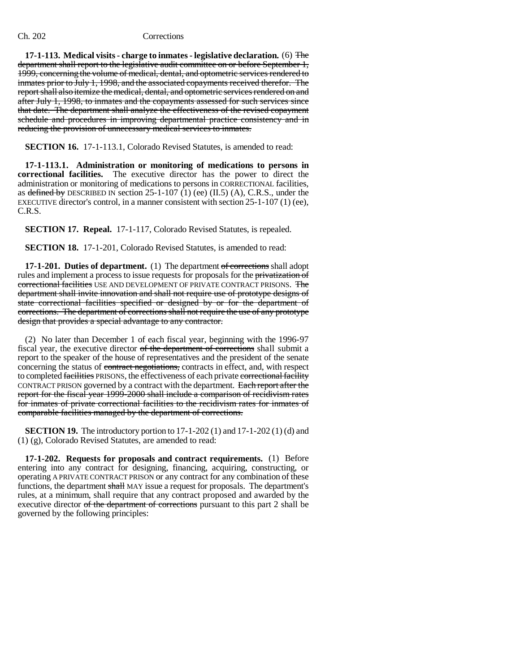**17-1-113. Medical visits - charge to inmates - legislative declaration.** (6) The department shall report to the legislative audit committee on or before September 1, 1999, concerning the volume of medical, dental, and optometric services rendered to inmates prior to July 1, 1998, and the associated copayments received therefor. The report shall also itemize the medical, dental, and optometric services rendered on and after July 1, 1998, to inmates and the copayments assessed for such services since that date. The department shall analyze the effectiveness of the revised copayment schedule and procedures in improving departmental practice consistency and in reducing the provision of unnecessary medical services to inmates.

**SECTION 16.** 17-1-113.1, Colorado Revised Statutes, is amended to read:

**17-1-113.1. Administration or monitoring of medications to persons in correctional facilities.** The executive director has the power to direct the administration or monitoring of medications to persons in CORRECTIONAL facilities, as defined by DESCRIBED IN section  $25-1-107$  (1) (ee) (II.5) (A), C.R.S., under the EXECUTIVE director's control, in a manner consistent with section 25-1-107 (1) (ee), C.R.S.

**SECTION 17. Repeal.** 17-1-117, Colorado Revised Statutes, is repealed.

**SECTION 18.** 17-1-201, Colorado Revised Statutes, is amended to read:

**17-1-201. Duties of department.** (1) The department of corrections shall adopt rules and implement a process to issue requests for proposals for the privatization of correctional facilities USE AND DEVELOPMENT OF PRIVATE CONTRACT PRISONS. The department shall invite innovation and shall not require use of prototype designs of state correctional facilities specified or designed by or for the department of corrections. The department of corrections shall not require the use of any prototype design that provides a special advantage to any contractor.

(2) No later than December 1 of each fiscal year, beginning with the 1996-97 fiscal year, the executive director of the department of corrections shall submit a report to the speaker of the house of representatives and the president of the senate concerning the status of contract negotiations, contracts in effect, and, with respect to completed facilities PRISONS, the effectiveness of each private correctional facility CONTRACT PRISON governed by a contract with the department. Each report after the report for the fiscal year 1999-2000 shall include a comparison of recidivism rates for inmates of private correctional facilities to the recidivism rates for inmates of comparable facilities managed by the department of corrections.

**SECTION 19.** The introductory portion to 17-1-202 (1) and 17-1-202 (1) (d) and (1) (g), Colorado Revised Statutes, are amended to read:

**17-1-202. Requests for proposals and contract requirements.** (1) Before entering into any contract for designing, financing, acquiring, constructing, or operating A PRIVATE CONTRACT PRISON or any contract for any combination of these functions, the department shall MAY issue a request for proposals. The department's rules, at a minimum, shall require that any contract proposed and awarded by the executive director of the department of corrections pursuant to this part 2 shall be governed by the following principles: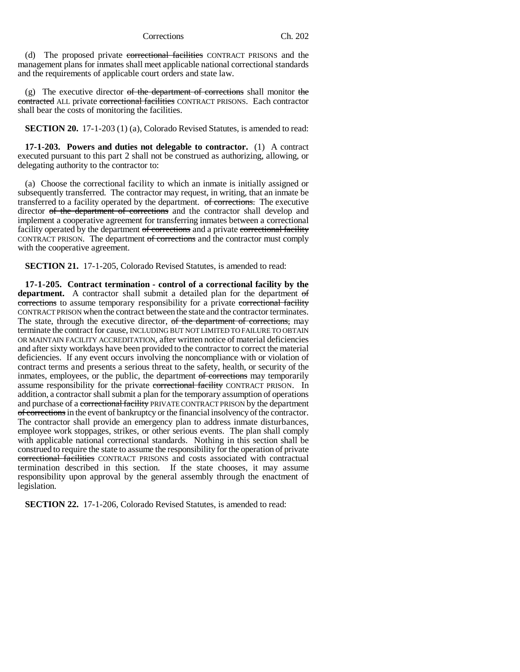(d) The proposed private correctional facilities CONTRACT PRISONS and the management plans for inmates shall meet applicable national correctional standards and the requirements of applicable court orders and state law.

(g) The executive director of the department of corrections shall monitor the contracted ALL private correctional facilities CONTRACT PRISONS. Each contractor shall bear the costs of monitoring the facilities.

**SECTION 20.** 17-1-203 (1) (a), Colorado Revised Statutes, is amended to read:

**17-1-203. Powers and duties not delegable to contractor.** (1) A contract executed pursuant to this part 2 shall not be construed as authorizing, allowing, or delegating authority to the contractor to:

(a) Choose the correctional facility to which an inmate is initially assigned or subsequently transferred. The contractor may request, in writing, that an inmate be transferred to a facility operated by the department. of corrections. The executive director of the department of corrections and the contractor shall develop and implement a cooperative agreement for transferring inmates between a correctional facility operated by the department of corrections and a private correctional facility CONTRACT PRISON. The department of corrections and the contractor must comply with the cooperative agreement.

**SECTION 21.** 17-1-205, Colorado Revised Statutes, is amended to read:

**17-1-205. Contract termination - control of a correctional facility by the** department. A contractor shall submit a detailed plan for the department of corrections to assume temporary responsibility for a private correctional facility CONTRACT PRISON when the contract between the state and the contractor terminates. The state, through the executive director, of the department of corrections, may terminate the contract for cause, INCLUDING BUT NOT LIMITED TO FAILURE TO OBTAIN OR MAINTAIN FACILITY ACCREDITATION, after written notice of material deficiencies and after sixty workdays have been provided to the contractor to correct the material deficiencies. If any event occurs involving the noncompliance with or violation of contract terms and presents a serious threat to the safety, health, or security of the inmates, employees, or the public, the department of corrections may temporarily assume responsibility for the private correctional facility CONTRACT PRISON. In addition, a contractor shall submit a plan for the temporary assumption of operations and purchase of a correctional facility PRIVATE CONTRACT PRISON by the department of corrections in the event of bankruptcy or the financial insolvency of the contractor. The contractor shall provide an emergency plan to address inmate disturbances, employee work stoppages, strikes, or other serious events. The plan shall comply with applicable national correctional standards. Nothing in this section shall be construed to require the state to assume the responsibility for the operation of private correctional facilities CONTRACT PRISONS and costs associated with contractual termination described in this section. If the state chooses, it may assume responsibility upon approval by the general assembly through the enactment of legislation.

**SECTION 22.** 17-1-206, Colorado Revised Statutes, is amended to read: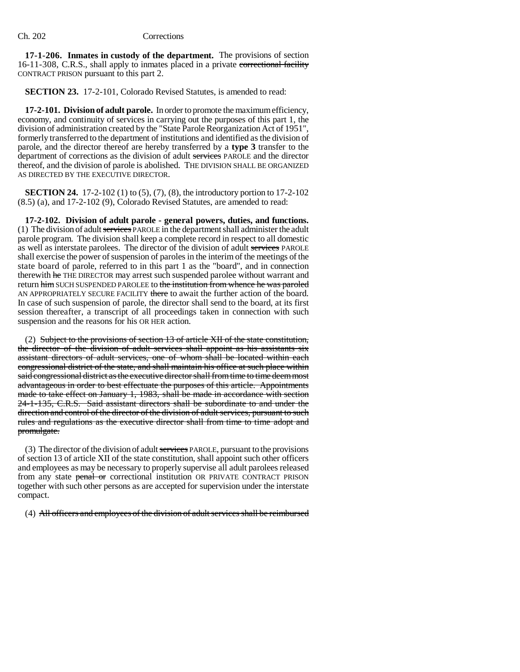**17-1-206. Inmates in custody of the department.** The provisions of section 16-11-308, C.R.S., shall apply to inmates placed in a private correctional facility CONTRACT PRISON pursuant to this part 2.

**SECTION 23.** 17-2-101, Colorado Revised Statutes, is amended to read:

**17-2-101. Division of adult parole.** In order to promote the maximum efficiency, economy, and continuity of services in carrying out the purposes of this part 1, the division of administration created by the "State Parole Reorganization Act of 1951", formerly transferred to the department of institutions and identified as the division of parole, and the director thereof are hereby transferred by a **type 3** transfer to the department of corrections as the division of adult services PAROLE and the director thereof, and the division of parole is abolished. THE DIVISION SHALL BE ORGANIZED AS DIRECTED BY THE EXECUTIVE DIRECTOR.

**SECTION 24.** 17-2-102 (1) to (5), (7), (8), the introductory portion to 17-2-102 (8.5) (a), and 17-2-102 (9), Colorado Revised Statutes, are amended to read:

**17-2-102. Division of adult parole - general powers, duties, and functions.** (1) The division of adult services PAROLE in the department shall administer the adult parole program. The division shall keep a complete record in respect to all domestic as well as interstate parolees. The director of the division of adult services PAROLE shall exercise the power of suspension of paroles in the interim of the meetings of the state board of parole, referred to in this part 1 as the "board", and in connection therewith he THE DIRECTOR may arrest such suspended parolee without warrant and return him SUCH SUSPENDED PAROLEE to the institution from whence he was paroled AN APPROPRIATELY SECURE FACILITY there to await the further action of the board. In case of such suspension of parole, the director shall send to the board, at its first session thereafter, a transcript of all proceedings taken in connection with such suspension and the reasons for his OR HER action.

(2) Subject to the provisions of section 13 of article XII of the state constitution, the director of the division of adult services shall appoint as his assistants six assistant directors of adult services, one of whom shall be located within each congressional district of the state, and shall maintain his office at such place within said congressional district as the executive director shall from time to time deem most advantageous in order to best effectuate the purposes of this article. Appointments made to take effect on January 1, 1983, shall be made in accordance with section 24-1-135, C.R.S. Said assistant directors shall be subordinate to and under the direction and control of the director of the division of adult services, pursuant to such rules and regulations as the executive director shall from time to time adopt and promulgate.

(3) The director of the division of adult services PAROLE, pursuant to the provisions of section 13 of article XII of the state constitution, shall appoint such other officers and employees as may be necessary to properly supervise all adult parolees released from any state penal or correctional institution OR PRIVATE CONTRACT PRISON together with such other persons as are accepted for supervision under the interstate compact.

(4) All officers and employees of the division of adult services shall be reimbursed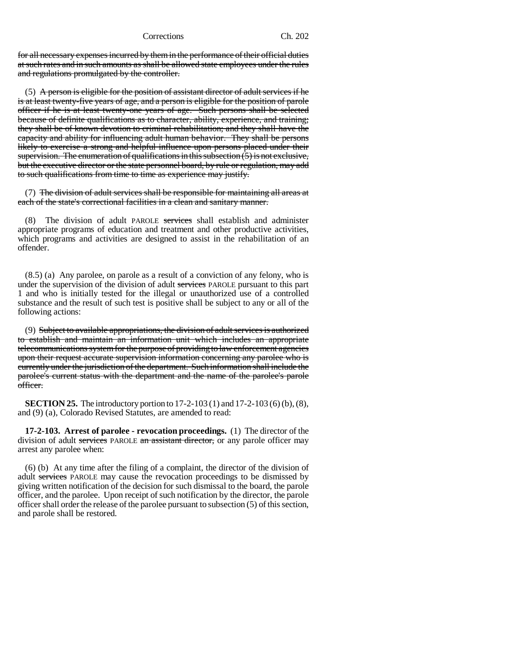for all necessary expenses incurred by them in the performance of their official duties at such rates and in such amounts as shall be allowed state employees under the rules and regulations promulgated by the controller.

(5) A person is eligible for the position of assistant director of adult services if he is at least twenty-five years of age, and a person is eligible for the position of parole officer if he is at least twenty-one years of age. Such persons shall be selected because of definite qualifications as to character, ability, experience, and training; they shall be of known devotion to criminal rehabilitation; and they shall have the capacity and ability for influencing adult human behavior. They shall be persons likely to exercise a strong and helpful influence upon persons placed under their supervision. The enumeration of qualifications in this subsection  $(5)$  is not exclusive, but the executive director or the state personnel board, by rule or regulation, may add to such qualifications from time to time as experience may justify.

(7) The division of adult services shall be responsible for maintaining all areas at each of the state's correctional facilities in a clean and sanitary manner.

(8) The division of adult PAROLE services shall establish and administer appropriate programs of education and treatment and other productive activities, which programs and activities are designed to assist in the rehabilitation of an offender.

(8.5) (a) Any parolee, on parole as a result of a conviction of any felony, who is under the supervision of the division of adult services PAROLE pursuant to this part 1 and who is initially tested for the illegal or unauthorized use of a controlled substance and the result of such test is positive shall be subject to any or all of the following actions:

(9) Subject to available appropriations, the division of adult services is authorized to establish and maintain an information unit which includes an appropriate telecommunications system for the purpose of providing to law enforcement agencies upon their request accurate supervision information concerning any parolee who is currently under the jurisdiction of the department. Such information shall include the parolee's current status with the department and the name of the parolee's parole officer.

**SECTION 25.** The introductory portion to 17-2-103 (1) and 17-2-103 (6) (b), (8), and (9) (a), Colorado Revised Statutes, are amended to read:

**17-2-103. Arrest of parolee - revocation proceedings.** (1) The director of the division of adult services PAROLE an assistant director, or any parole officer may arrest any parolee when:

(6) (b) At any time after the filing of a complaint, the director of the division of adult services PAROLE may cause the revocation proceedings to be dismissed by giving written notification of the decision for such dismissal to the board, the parole officer, and the parolee. Upon receipt of such notification by the director, the parole officer shall order the release of the parolee pursuant to subsection (5) of this section, and parole shall be restored.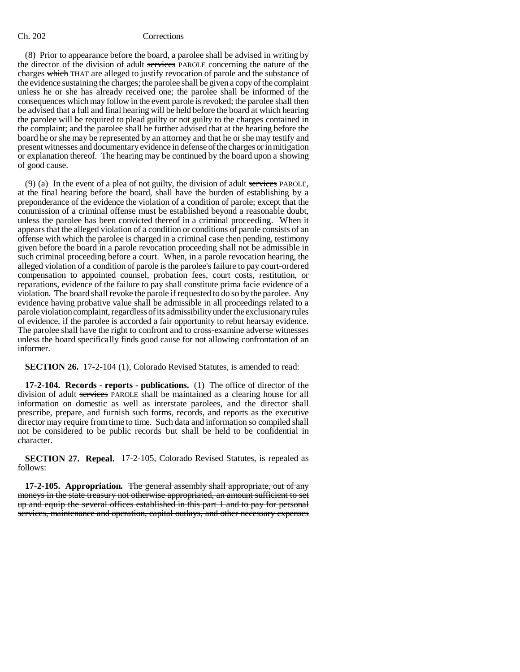(8) Prior to appearance before the board, a parolee shall be advised in writing by the director of the division of adult services PAROLE concerning the nature of the charges which THAT are alleged to justify revocation of parole and the substance of the evidence sustaining the charges; the parolee shall be given a copy of the complaint unless he or she has already received one; the parolee shall be informed of the consequences which may follow in the event parole is revoked; the parolee shall then be advised that a full and final hearing will be held before the board at which hearing the parolee will be required to plead guilty or not guilty to the charges contained in the complaint; and the parolee shall be further advised that at the hearing before the board he or she may be represented by an attorney and that he or she may testify and present witnesses and documentary evidence in defense of the charges or in mitigation or explanation thereof. The hearing may be continued by the board upon a showing of good cause.

(9) (a) In the event of a plea of not guilty, the division of adult services PAROLE, at the final hearing before the board, shall have the burden of establishing by a preponderance of the evidence the violation of a condition of parole; except that the commission of a criminal offense must be established beyond a reasonable doubt, unless the parolee has been convicted thereof in a criminal proceeding. When it appears that the alleged violation of a condition or conditions of parole consists of an offense with which the parolee is charged in a criminal case then pending, testimony given before the board in a parole revocation proceeding shall not be admissible in such criminal proceeding before a court. When, in a parole revocation hearing, the alleged violation of a condition of parole is the parolee's failure to pay court-ordered compensation to appointed counsel, probation fees, court costs, restitution, or reparations, evidence of the failure to pay shall constitute prima facie evidence of a violation. The board shall revoke the parole if requested to do so by the parolee. Any evidence having probative value shall be admissible in all proceedings related to a parole violation complaint, regardless of its admissibility under the exclusionary rules of evidence, if the parolee is accorded a fair opportunity to rebut hearsay evidence. The parolee shall have the right to confront and to cross-examine adverse witnesses unless the board specifically finds good cause for not allowing confrontation of an informer.

**SECTION 26.** 17-2-104 (1), Colorado Revised Statutes, is amended to read:

**17-2-104. Records - reports - publications.** (1) The office of director of the division of adult services PAROLE shall be maintained as a clearing house for all information on domestic as well as interstate parolees, and the director shall prescribe, prepare, and furnish such forms, records, and reports as the executive director may require from time to time. Such data and information so compiled shall not be considered to be public records but shall be held to be confidential in character.

**SECTION 27. Repeal.** 17-2-105, Colorado Revised Statutes, is repealed as follows:

**17-2-105. Appropriation.** The general assembly shall appropriate, out of any moneys in the state treasury not otherwise appropriated, an amount sufficient to set up and equip the several offices established in this part 1 and to pay for personal services, maintenance and operation, capital outlays, and other necessary expenses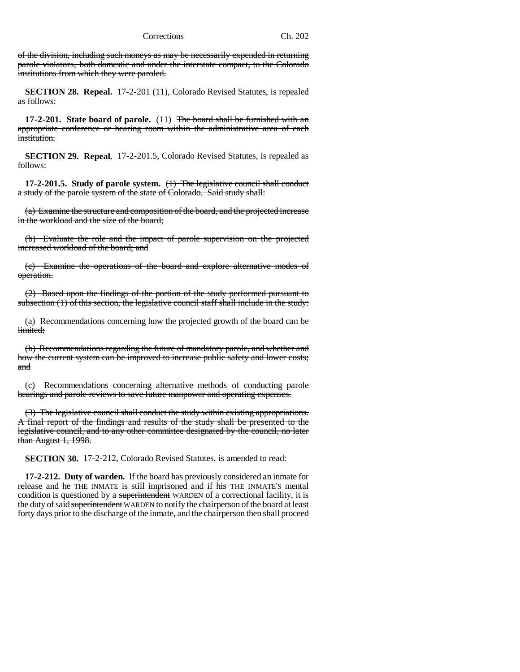of the division, including such moneys as may be necessarily expended in returning parole violators, both domestic and under the interstate compact, to the Colorado institutions from which they were paroled.

**SECTION 28. Repeal.** 17-2-201 (11), Colorado Revised Statutes, is repealed as follows:

**17-2-201. State board of parole.** (11) The board shall be furnished with an appropriate conference or hearing room within the administrative area of each institution.

**SECTION 29. Repeal.** 17-2-201.5, Colorado Revised Statutes, is repealed as follows:

**17-2-201.5. Study of parole system.** (1) The legislative council shall conduct a study of the parole system of the state of Colorado. Said study shall:

(a) Examine the structure and composition of the board, and the projected increase in the workload and the size of the board;

(b) Evaluate the role and the impact of parole supervision on the projected increased workload of the board; and

(c) Examine the operations of the board and explore alternative modes of operation.

(2) Based upon the findings of the portion of the study performed pursuant to subsection  $(1)$  of this section, the legislative council staff shall include in the study:

(a) Recommendations concerning how the projected growth of the board can be limited;

(b) Recommendations regarding the future of mandatory parole, and whether and how the current system can be improved to increase public safety and lower costs; and

(c) Recommendations concerning alternative methods of conducting parole hearings and parole reviews to save future manpower and operating expenses.

(3) The legislative council shall conduct the study within existing appropriations. A final report of the findings and results of the study shall be presented to the legislative council, and to any other committee designated by the council, no later than August 1, 1998.

**SECTION 30.** 17-2-212, Colorado Revised Statutes, is amended to read:

**17-2-212. Duty of warden.** If the board has previously considered an inmate for release and he THE INMATE is still imprisoned and if his THE INMATE'S mental condition is questioned by a superintendent WARDEN of a correctional facility, it is the duty of said superintendent WARDEN to notify the chairperson of the board at least forty days prior to the discharge of the inmate, and the chairperson then shall proceed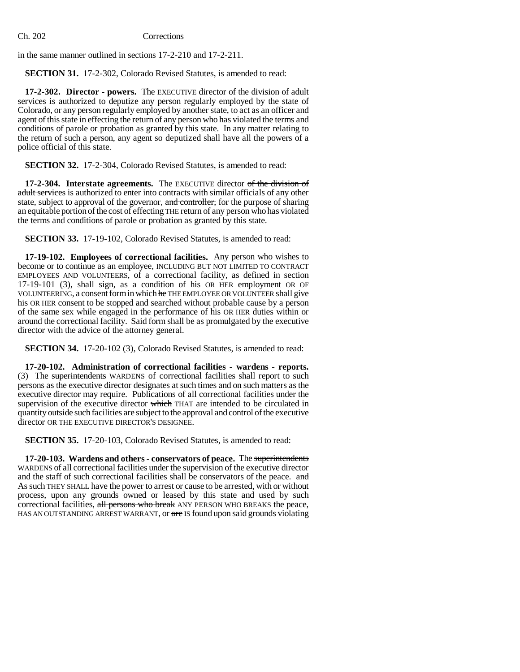in the same manner outlined in sections 17-2-210 and 17-2-211.

**SECTION 31.** 17-2-302, Colorado Revised Statutes, is amended to read:

**17-2-302. Director - powers.** The EXECUTIVE director of the division of adult services is authorized to deputize any person regularly employed by the state of Colorado, or any person regularly employed by another state, to act as an officer and agent of this state in effecting the return of any person who has violated the terms and conditions of parole or probation as granted by this state. In any matter relating to the return of such a person, any agent so deputized shall have all the powers of a police official of this state.

**SECTION 32.** 17-2-304, Colorado Revised Statutes, is amended to read:

**17-2-304. Interstate agreements.** The EXECUTIVE director of the division of adult services is authorized to enter into contracts with similar officials of any other state, subject to approval of the governor, and controller, for the purpose of sharing an equitable portion of the cost of effecting THE return of any person who has violated the terms and conditions of parole or probation as granted by this state.

**SECTION 33.** 17-19-102, Colorado Revised Statutes, is amended to read:

**17-19-102. Employees of correctional facilities.** Any person who wishes to become or to continue as an employee, INCLUDING BUT NOT LIMITED TO CONTRACT EMPLOYEES AND VOLUNTEERS, of a correctional facility, as defined in section 17-19-101 (3), shall sign, as a condition of his OR HER employment OR OF VOLUNTEERING, a consent form in which he THE EMPLOYEE OR VOLUNTEER shall give his OR HER consent to be stopped and searched without probable cause by a person of the same sex while engaged in the performance of his OR HER duties within or around the correctional facility. Said form shall be as promulgated by the executive director with the advice of the attorney general.

**SECTION 34.** 17-20-102 (3), Colorado Revised Statutes, is amended to read:

**17-20-102. Administration of correctional facilities - wardens - reports.** (3) The superintendents WARDENS of correctional facilities shall report to such persons as the executive director designates at such times and on such matters as the executive director may require. Publications of all correctional facilities under the supervision of the executive director which THAT are intended to be circulated in quantity outside such facilities are subject to the approval and control of the executive director OR THE EXECUTIVE DIRECTOR'S DESIGNEE.

**SECTION 35.** 17-20-103, Colorado Revised Statutes, is amended to read:

**17-20-103. Wardens and others - conservators of peace.** The superintendents WARDENS of all correctional facilities under the supervision of the executive director and the staff of such correctional facilities shall be conservators of the peace. and As such THEY SHALL have the power to arrest or cause to be arrested, with or without process, upon any grounds owned or leased by this state and used by such correctional facilities, all persons who break ANY PERSON WHO BREAKS the peace, HAS AN OUTSTANDING ARREST WARRANT, or are IS found upon said grounds violating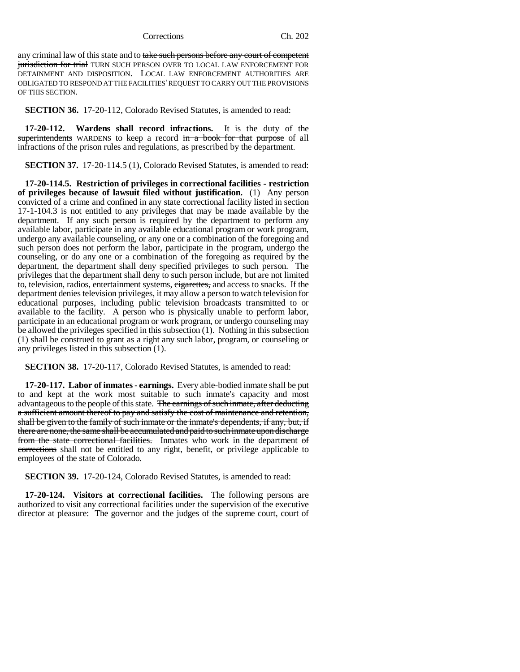any criminal law of this state and to take such persons before any court of competent jurisdiction for trial TURN SUCH PERSON OVER TO LOCAL LAW ENFORCEMENT FOR DETAINMENT AND DISPOSITION. LOCAL LAW ENFORCEMENT AUTHORITIES ARE OBLIGATED TO RESPOND AT THE FACILITIES' REQUEST TO CARRY OUT THE PROVISIONS OF THIS SECTION.

**SECTION 36.** 17-20-112, Colorado Revised Statutes, is amended to read:

**17-20-112. Wardens shall record infractions.** It is the duty of the superintendents WARDENS to keep a record in a book for that purpose of all infractions of the prison rules and regulations, as prescribed by the department.

**SECTION 37.** 17-20-114.5 (1), Colorado Revised Statutes, is amended to read:

**17-20-114.5. Restriction of privileges in correctional facilities - restriction of privileges because of lawsuit filed without justification.** (1) Any person convicted of a crime and confined in any state correctional facility listed in section 17-1-104.3 is not entitled to any privileges that may be made available by the department. If any such person is required by the department to perform any available labor, participate in any available educational program or work program, undergo any available counseling, or any one or a combination of the foregoing and such person does not perform the labor, participate in the program, undergo the counseling, or do any one or a combination of the foregoing as required by the department, the department shall deny specified privileges to such person. The privileges that the department shall deny to such person include, but are not limited to, television, radios, entertainment systems, eigarettes, and access to snacks. If the department denies television privileges, it may allow a person to watch television for educational purposes, including public television broadcasts transmitted to or available to the facility. A person who is physically unable to perform labor, participate in an educational program or work program, or undergo counseling may be allowed the privileges specified in this subsection (1). Nothing in this subsection (1) shall be construed to grant as a right any such labor, program, or counseling or any privileges listed in this subsection (1).

**SECTION 38.** 17-20-117, Colorado Revised Statutes, is amended to read:

**17-20-117. Labor of inmates - earnings.** Every able-bodied inmate shall be put to and kept at the work most suitable to such inmate's capacity and most advantageous to the people of this state. The earnings of such inmate, after deducting a sufficient amount thereof to pay and satisfy the cost of maintenance and retention, shall be given to the family of such inmate or the inmate's dependents, if any, but, if there are none, the same shall be accumulated and paid to such inmate upon discharge from the state correctional facilities. Inmates who work in the department of corrections shall not be entitled to any right, benefit, or privilege applicable to employees of the state of Colorado.

**SECTION 39.** 17-20-124, Colorado Revised Statutes, is amended to read:

**17-20-124. Visitors at correctional facilities.** The following persons are authorized to visit any correctional facilities under the supervision of the executive director at pleasure: The governor and the judges of the supreme court, court of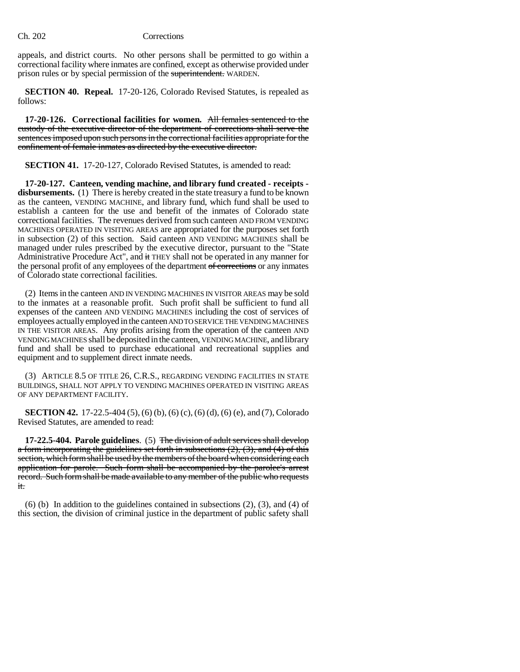appeals, and district courts. No other persons shall be permitted to go within a correctional facility where inmates are confined, except as otherwise provided under prison rules or by special permission of the superintendent. WARDEN.

**SECTION 40. Repeal.** 17-20-126, Colorado Revised Statutes, is repealed as follows:

**17-20-126. Correctional facilities for women.** All females sentenced to the custody of the executive director of the department of corrections shall serve the sentences imposed upon such persons in the correctional facilities appropriate for the confinement of female inmates as directed by the executive director.

**SECTION 41.** 17-20-127, Colorado Revised Statutes, is amended to read:

**17-20-127. Canteen, vending machine, and library fund created - receipts disbursements.** (1) There is hereby created in the state treasury a fund to be known as the canteen, VENDING MACHINE, and library fund, which fund shall be used to establish a canteen for the use and benefit of the inmates of Colorado state correctional facilities. The revenues derived from such canteen AND FROM VENDING MACHINES OPERATED IN VISITING AREAS are appropriated for the purposes set forth in subsection (2) of this section. Said canteen AND VENDING MACHINES shall be managed under rules prescribed by the executive director, pursuant to the "State Administrative Procedure Act", and it THEY shall not be operated in any manner for the personal profit of any employees of the department of corrections or any inmates of Colorado state correctional facilities.

(2) Items in the canteen AND IN VENDING MACHINES IN VISITOR AREAS may be sold to the inmates at a reasonable profit. Such profit shall be sufficient to fund all expenses of the canteen AND VENDING MACHINES including the cost of services of employees actually employed in the canteen AND TO SERVICE THE VENDING MACHINES IN THE VISITOR AREAS. Any profits arising from the operation of the canteen AND VENDING MACHINES shall be deposited in the canteen, VENDING MACHINE, and library fund and shall be used to purchase educational and recreational supplies and equipment and to supplement direct inmate needs.

(3) ARTICLE 8.5 OF TITLE 26, C.R.S., REGARDING VENDING FACILITIES IN STATE BUILDINGS, SHALL NOT APPLY TO VENDING MACHINES OPERATED IN VISITING AREAS OF ANY DEPARTMENT FACILITY.

**SECTION 42.** 17-22.5-404 (5), (6) (b), (6) (c), (6) (d), (6) (e), and (7), Colorado Revised Statutes, are amended to read:

**17-22.5-404. Parole guidelines**. (5) The division of adult services shall develop a form incorporating the guidelines set forth in subsections  $(2)$ ,  $(3)$ , and  $(4)$  of this section, which form shall be used by the members of the board when considering each application for parole. Such form shall be accompanied by the parolee's arrest record. Such form shall be made available to any member of the public who requests it.

(6) (b) In addition to the guidelines contained in subsections (2), (3), and (4) of this section, the division of criminal justice in the department of public safety shall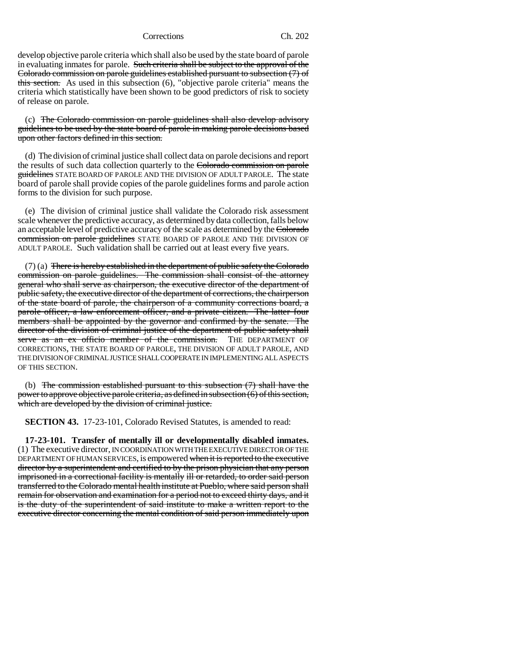develop objective parole criteria which shall also be used by the state board of parole in evaluating inmates for parole. Such criteria shall be subject to the approval of the Colorado commission on parole guidelines established pursuant to subsection (7) of this section. As used in this subsection (6), "objective parole criteria" means the criteria which statistically have been shown to be good predictors of risk to society of release on parole.

(c) The Colorado commission on parole guidelines shall also develop advisory guidelines to be used by the state board of parole in making parole decisions based upon other factors defined in this section.

(d) The division of criminal justice shall collect data on parole decisions and report the results of such data collection quarterly to the Colorado commission on parole guidelines STATE BOARD OF PAROLE AND THE DIVISION OF ADULT PAROLE. The state board of parole shall provide copies of the parole guidelines forms and parole action forms to the division for such purpose.

(e) The division of criminal justice shall validate the Colorado risk assessment scale whenever the predictive accuracy, as determined by data collection, falls below an acceptable level of predictive accuracy of the scale as determined by the Colorado commission on parole guidelines STATE BOARD OF PAROLE AND THE DIVISION OF ADULT PAROLE. Such validation shall be carried out at least every five years.

 $(7)$  (a) There is hereby established in the department of public safety the Colorado commission on parole guidelines. The commission shall consist of the attorney general who shall serve as chairperson, the executive director of the department of public safety, the executive director of the department of corrections, the chairperson of the state board of parole, the chairperson of a community corrections board, a parole officer, a law enforcement officer, and a private citizen. The latter four members shall be appointed by the governor and confirmed by the senate. The director of the division of criminal justice of the department of public safety shall serve as an ex officio member of the commission. THE DEPARTMENT OF CORRECTIONS, THE STATE BOARD OF PAROLE, THE DIVISION OF ADULT PAROLE, AND THE DIVISION OF CRIMINAL JUSTICE SHALL COOPERATE IN IMPLEMENTING ALL ASPECTS OF THIS SECTION.

(b) The commission established pursuant to this subsection  $(7)$  shall have the power to approve objective parole criteria, as defined in subsection (6) of this section, which are developed by the division of criminal justice.

**SECTION 43.** 17-23-101, Colorado Revised Statutes, is amended to read:

**17-23-101. Transfer of mentally ill or developmentally disabled inmates.** (1) The executive director, IN COORDINATION WITH THE EXECUTIVE DIRECTOR OF THE DEPARTMENT OF HUMAN SERVICES, is empowered when it is reported to the executive director by a superintendent and certified to by the prison physician that any person imprisoned in a correctional facility is mentally ill or retarded, to order said person transferred to the Colorado mental health institute at Pueblo, where said person shall remain for observation and examination for a period not to exceed thirty days, and it is the duty of the superintendent of said institute to make a written report to the executive director concerning the mental condition of said person immediately upon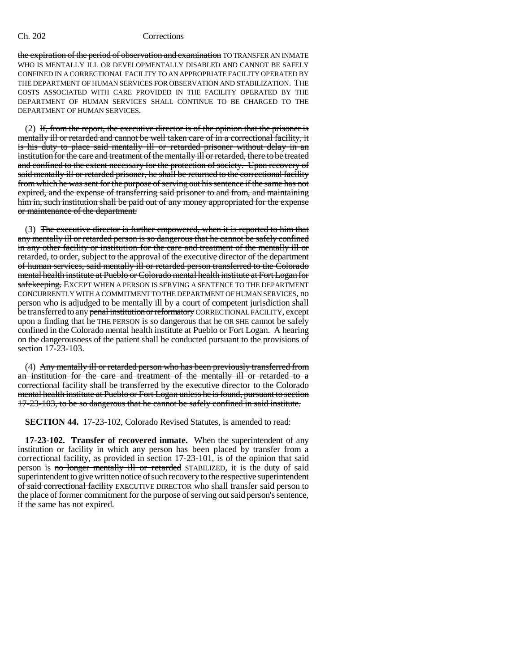the expiration of the period of observation and examination TO TRANSFER AN INMATE WHO IS MENTALLY ILL OR DEVELOPMENTALLY DISABLED AND CANNOT BE SAFELY CONFINED IN A CORRECTIONAL FACILITY TO AN APPROPRIATE FACILITY OPERATED BY THE DEPARTMENT OF HUMAN SERVICES FOR OBSERVATION AND STABILIZATION. THE COSTS ASSOCIATED WITH CARE PROVIDED IN THE FACILITY OPERATED BY THE DEPARTMENT OF HUMAN SERVICES SHALL CONTINUE TO BE CHARGED TO THE DEPARTMENT OF HUMAN SERVICES.

 $(2)$  If, from the report, the executive director is of the opinion that the prisoner is mentally ill or retarded and cannot be well taken care of in a correctional facility, it is his duty to place said mentally ill or retarded prisoner without delay in an institution for the care and treatment of the mentally ill or retarded, there to be treated and confined to the extent necessary for the protection of society. Upon recovery of said mentally ill or retarded prisoner, he shall be returned to the correctional facility from which he was sent for the purpose of serving out his sentence if the same has not expired, and the expense of transferring said prisoner to and from, and maintaining him in, such institution shall be paid out of any money appropriated for the expense or maintenance of the department.

(3) The executive director is further empowered, when it is reported to him that any mentally ill or retarded person is so dangerous that he cannot be safely confined in any other facility or institution for the care and treatment of the mentally ill or retarded, to order, subject to the approval of the executive director of the department of human services, said mentally ill or retarded person transferred to the Colorado mental health institute at Pueblo or Colorado mental health institute at Fort Logan for safekeeping. EXCEPT WHEN A PERSON IS SERVING A SENTENCE TO THE DEPARTMENT CONCURRENTLY WITH A COMMITMENT TO THE DEPARTMENT OF HUMAN SERVICES, no person who is adjudged to be mentally ill by a court of competent jurisdiction shall be transferred to any penal institution or reformatory CORRECTIONAL FACILITY, except upon a finding that he THE PERSON is so dangerous that he OR SHE cannot be safely confined in the Colorado mental health institute at Pueblo or Fort Logan. A hearing on the dangerousness of the patient shall be conducted pursuant to the provisions of section 17-23-103.

(4) Any mentally ill or retarded person who has been previously transferred from an institution for the care and treatment of the mentally ill or retarded to a correctional facility shall be transferred by the executive director to the Colorado mental health institute at Pueblo or Fort Logan unless he is found, pursuant to section 17-23-103, to be so dangerous that he cannot be safely confined in said institute.

**SECTION 44.** 17-23-102, Colorado Revised Statutes, is amended to read:

**17-23-102. Transfer of recovered inmate.** When the superintendent of any institution or facility in which any person has been placed by transfer from a correctional facility, as provided in section 17-23-101, is of the opinion that said person is no longer mentally ill or retarded STABILIZED, it is the duty of said superintendent to give written notice of such recovery to the respective superintendent of said correctional facility EXECUTIVE DIRECTOR who shall transfer said person to the place of former commitment for the purpose of serving out said person's sentence, if the same has not expired.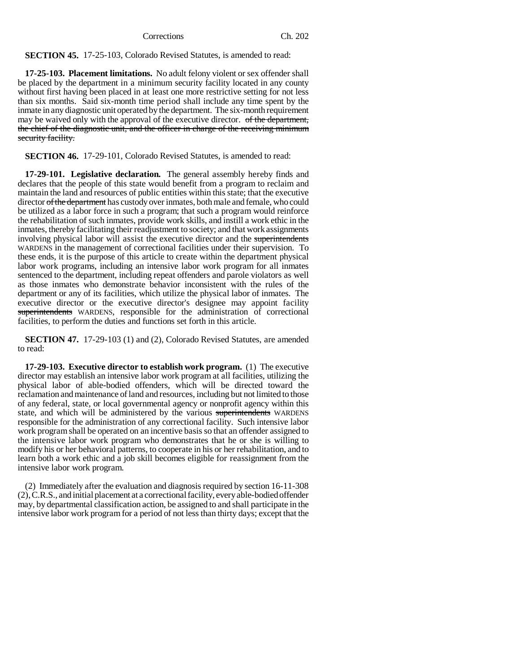**SECTION 45.** 17-25-103, Colorado Revised Statutes, is amended to read:

**17-25-103. Placement limitations.** No adult felony violent or sex offender shall be placed by the department in a minimum security facility located in any county without first having been placed in at least one more restrictive setting for not less than six months. Said six-month time period shall include any time spent by the inmate in any diagnostic unit operated by the department. The six-month requirement may be waived only with the approval of the executive director. of the department, the chief of the diagnostic unit, and the officer in charge of the receiving minimum security facility.

**SECTION 46.** 17-29-101, Colorado Revised Statutes, is amended to read:

**17-29-101. Legislative declaration.** The general assembly hereby finds and declares that the people of this state would benefit from a program to reclaim and maintain the land and resources of public entities within this state; that the executive director of the department has custody over inmates, both male and female, who could be utilized as a labor force in such a program; that such a program would reinforce the rehabilitation of such inmates, provide work skills, and instill a work ethic in the inmates, thereby facilitating their readjustment to society; and that work assignments involving physical labor will assist the executive director and the superintendents WARDENS in the management of correctional facilities under their supervision. To these ends, it is the purpose of this article to create within the department physical labor work programs, including an intensive labor work program for all inmates sentenced to the department, including repeat offenders and parole violators as well as those inmates who demonstrate behavior inconsistent with the rules of the department or any of its facilities, which utilize the physical labor of inmates. The executive director or the executive director's designee may appoint facility superintendents WARDENS, responsible for the administration of correctional facilities, to perform the duties and functions set forth in this article.

**SECTION 47.** 17-29-103 (1) and (2), Colorado Revised Statutes, are amended to read:

**17-29-103. Executive director to establish work program.** (1) The executive director may establish an intensive labor work program at all facilities, utilizing the physical labor of able-bodied offenders, which will be directed toward the reclamation and maintenance of land and resources, including but not limited to those of any federal, state, or local governmental agency or nonprofit agency within this state, and which will be administered by the various superintendents WARDENS responsible for the administration of any correctional facility. Such intensive labor work program shall be operated on an incentive basis so that an offender assigned to the intensive labor work program who demonstrates that he or she is willing to modify his or her behavioral patterns, to cooperate in his or her rehabilitation, and to learn both a work ethic and a job skill becomes eligible for reassignment from the intensive labor work program.

(2) Immediately after the evaluation and diagnosis required by section 16-11-308 (2), C.R.S., and initial placement at a correctional facility, every able-bodied offender may, by departmental classification action, be assigned to and shall participate in the intensive labor work program for a period of not less than thirty days; except that the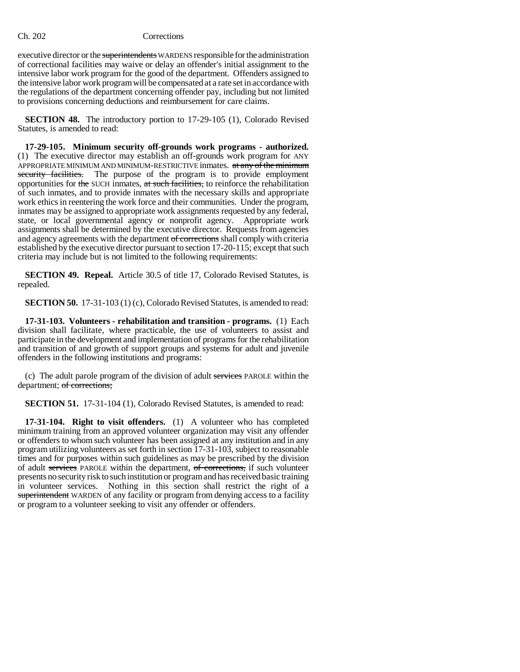executive director or the superintendents WARDENS responsible for the administration of correctional facilities may waive or delay an offender's initial assignment to the intensive labor work program for the good of the department. Offenders assigned to the intensive labor work program will be compensated at a rate set in accordance with the regulations of the department concerning offender pay, including but not limited to provisions concerning deductions and reimbursement for care claims.

**SECTION 48.** The introductory portion to 17-29-105 (1), Colorado Revised Statutes, is amended to read:

**17-29-105. Minimum security off-grounds work programs - authorized.** (1) The executive director may establish an off-grounds work program for ANY APPROPRIATE MINIMUM AND MINIMUM-RESTRICTIVE inmates. at any of the minimum security facilities. The purpose of the program is to provide employment opportunities for the SUCH inmates, at such facilities, to reinforce the rehabilitation of such inmates, and to provide inmates with the necessary skills and appropriate work ethics in reentering the work force and their communities. Under the program, inmates may be assigned to appropriate work assignments requested by any federal, state, or local governmental agency or nonprofit agency. Appropriate work assignments shall be determined by the executive director. Requests from agencies and agency agreements with the department of corrections shall comply with criteria established by the executive director pursuant to section 17-20-115; except that such criteria may include but is not limited to the following requirements:

**SECTION 49. Repeal.** Article 30.5 of title 17, Colorado Revised Statutes, is repealed.

**SECTION 50.** 17-31-103 (1) (c), Colorado Revised Statutes, is amended to read:

**17-31-103. Volunteers - rehabilitation and transition - programs.** (1) Each division shall facilitate, where practicable, the use of volunteers to assist and participate in the development and implementation of programs for the rehabilitation and transition of and growth of support groups and systems for adult and juvenile offenders in the following institutions and programs:

(c) The adult parole program of the division of adult services PAROLE within the department; of corrections;

**SECTION 51.** 17-31-104 (1), Colorado Revised Statutes, is amended to read:

**17-31-104. Right to visit offenders.** (1) A volunteer who has completed minimum training from an approved volunteer organization may visit any offender or offenders to whom such volunteer has been assigned at any institution and in any program utilizing volunteers as set forth in section 17-31-103, subject to reasonable times and for purposes within such guidelines as may be prescribed by the division of adult services PAROLE within the department, of corrections, if such volunteer presents no security risk to such institution or program and has received basic training in volunteer services. Nothing in this section shall restrict the right of a superintendent WARDEN of any facility or program from denying access to a facility or program to a volunteer seeking to visit any offender or offenders.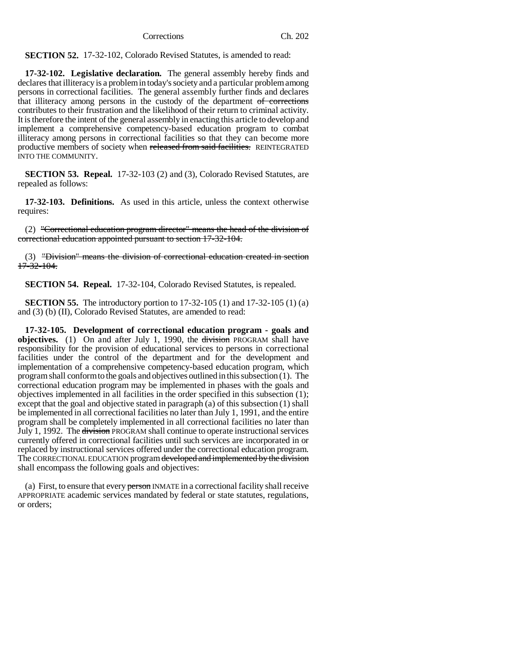**SECTION 52.** 17-32-102, Colorado Revised Statutes, is amended to read:

**17-32-102. Legislative declaration.** The general assembly hereby finds and declares that illiteracy is a problem in today's society and a particular problem among persons in correctional facilities. The general assembly further finds and declares that illiteracy among persons in the custody of the department of corrections contributes to their frustration and the likelihood of their return to criminal activity. It is therefore the intent of the general assembly in enacting this article to develop and implement a comprehensive competency-based education program to combat illiteracy among persons in correctional facilities so that they can become more productive members of society when released from said facilities. REINTEGRATED INTO THE COMMUNITY.

**SECTION 53. Repeal.** 17-32-103 (2) and (3), Colorado Revised Statutes, are repealed as follows:

**17-32-103. Definitions.** As used in this article, unless the context otherwise requires:

(2) "Correctional education program director" means the head of the division of correctional education appointed pursuant to section 17-32-104.

(3) "Division" means the division of correctional education created in section 17-32-104.

**SECTION 54. Repeal.** 17-32-104, Colorado Revised Statutes, is repealed.

**SECTION 55.** The introductory portion to 17-32-105 (1) and 17-32-105 (1) (a) and (3) (b) (II), Colorado Revised Statutes, are amended to read:

**17-32-105. Development of correctional education program - goals and objectives.** (1) On and after July 1, 1990, the division PROGRAM shall have responsibility for the provision of educational services to persons in correctional facilities under the control of the department and for the development and implementation of a comprehensive competency-based education program, which program shall conform to the goals and objectives outlined in this subsection (1). The correctional education program may be implemented in phases with the goals and objectives implemented in all facilities in the order specified in this subsection (1); except that the goal and objective stated in paragraph (a) of this subsection (1) shall be implemented in all correctional facilities no later than July 1, 1991, and the entire program shall be completely implemented in all correctional facilities no later than July 1, 1992. The division PROGRAM shall continue to operate instructional services currently offered in correctional facilities until such services are incorporated in or replaced by instructional services offered under the correctional education program. The CORRECTIONAL EDUCATION program developed and implemented by the division shall encompass the following goals and objectives:

(a) First, to ensure that every person INMATE in a correctional facility shall receive APPROPRIATE academic services mandated by federal or state statutes, regulations, or orders;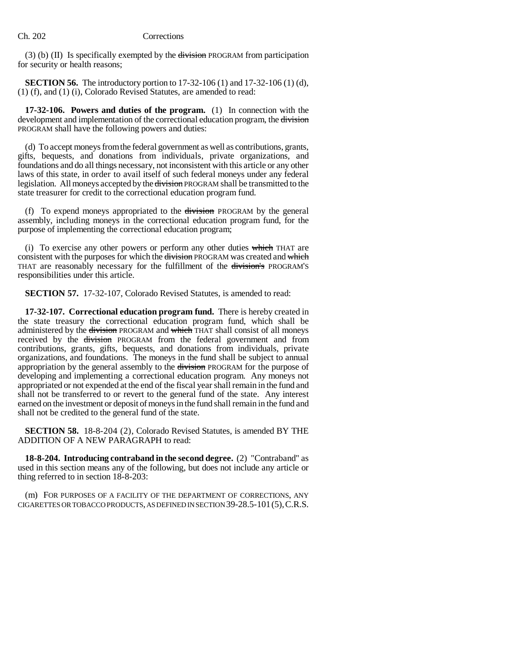(3) (b) (II) Is specifically exempted by the  $division$  PROGRAM from participation for security or health reasons;

**SECTION 56.** The introductory portion to 17-32-106 (1) and 17-32-106 (1) (d), (1) (f), and (1) (i), Colorado Revised Statutes, are amended to read:

**17-32-106. Powers and duties of the program.** (1) In connection with the development and implementation of the correctional education program, the division PROGRAM shall have the following powers and duties:

(d) To accept moneys from the federal government as well as contributions, grants, gifts, bequests, and donations from individuals, private organizations, and foundations and do all things necessary, not inconsistent with this article or any other laws of this state, in order to avail itself of such federal moneys under any federal legislation. All moneys accepted by the division PROGRAM shall be transmitted to the state treasurer for credit to the correctional education program fund.

(f) To expend moneys appropriated to the division PROGRAM by the general assembly, including moneys in the correctional education program fund, for the purpose of implementing the correctional education program;

(i) To exercise any other powers or perform any other duties which THAT are consistent with the purposes for which the division PROGRAM was created and which THAT are reasonably necessary for the fulfillment of the division's PROGRAM'S responsibilities under this article.

**SECTION 57.** 17-32-107, Colorado Revised Statutes, is amended to read:

**17-32-107. Correctional education program fund.** There is hereby created in the state treasury the correctional education program fund, which shall be administered by the division PROGRAM and which THAT shall consist of all moneys received by the division PROGRAM from the federal government and from contributions, grants, gifts, bequests, and donations from individuals, private organizations, and foundations. The moneys in the fund shall be subject to annual appropriation by the general assembly to the division PROGRAM for the purpose of developing and implementing a correctional education program. Any moneys not appropriated or not expended at the end of the fiscal year shall remain in the fund and shall not be transferred to or revert to the general fund of the state. Any interest earned on the investment or deposit of moneys in the fund shall remain in the fund and shall not be credited to the general fund of the state.

**SECTION 58.** 18-8-204 (2), Colorado Revised Statutes, is amended BY THE ADDITION OF A NEW PARAGRAPH to read:

**18-8-204. Introducing contraband in the second degree.** (2) "Contraband" as used in this section means any of the following, but does not include any article or thing referred to in section 18-8-203:

(m) FOR PURPOSES OF A FACILITY OF THE DEPARTMENT OF CORRECTIONS, ANY CIGARETTES OR TOBACCO PRODUCTS, AS DEFINED IN SECTION 39-28.5-101(5),C.R.S.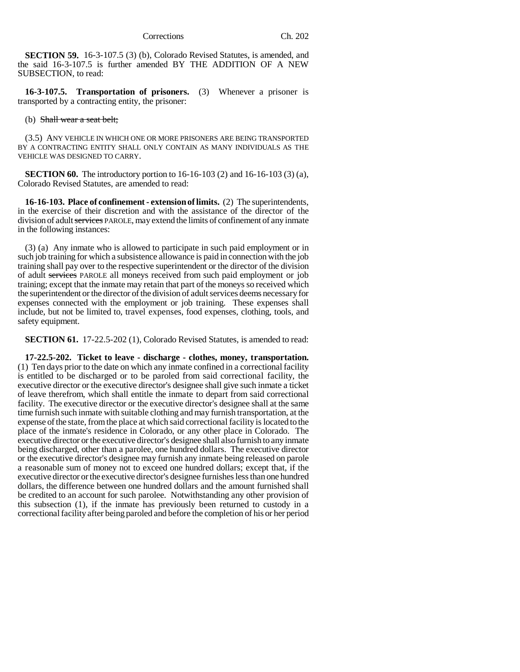**SECTION 59.** 16-3-107.5 (3) (b), Colorado Revised Statutes, is amended, and the said 16-3-107.5 is further amended BY THE ADDITION OF A NEW SUBSECTION, to read:

**16-3-107.5. Transportation of prisoners.** (3) Whenever a prisoner is transported by a contracting entity, the prisoner:

(b) Shall wear a seat belt;

(3.5) ANY VEHICLE IN WHICH ONE OR MORE PRISONERS ARE BEING TRANSPORTED BY A CONTRACTING ENTITY SHALL ONLY CONTAIN AS MANY INDIVIDUALS AS THE VEHICLE WAS DESIGNED TO CARRY.

**SECTION 60.** The introductory portion to 16-16-103 (2) and 16-16-103 (3) (a), Colorado Revised Statutes, are amended to read:

**16-16-103. Place of confinement - extension of limits.** (2) The superintendents, in the exercise of their discretion and with the assistance of the director of the division of adult services PAROLE, may extend the limits of confinement of any inmate in the following instances:

(3) (a) Any inmate who is allowed to participate in such paid employment or in such job training for which a subsistence allowance is paid in connection with the job training shall pay over to the respective superintendent or the director of the division of adult services PAROLE all moneys received from such paid employment or job training; except that the inmate may retain that part of the moneys so received which the superintendent or the director of the division of adult services deems necessary for expenses connected with the employment or job training. These expenses shall include, but not be limited to, travel expenses, food expenses, clothing, tools, and safety equipment.

**SECTION 61.** 17-22.5-202 (1), Colorado Revised Statutes, is amended to read:

**17-22.5-202. Ticket to leave - discharge - clothes, money, transportation.** (1) Ten days prior to the date on which any inmate confined in a correctional facility is entitled to be discharged or to be paroled from said correctional facility, the executive director or the executive director's designee shall give such inmate a ticket of leave therefrom, which shall entitle the inmate to depart from said correctional facility. The executive director or the executive director's designee shall at the same time furnish such inmate with suitable clothing and may furnish transportation, at the expense of the state, from the place at which said correctional facility is located to the place of the inmate's residence in Colorado, or any other place in Colorado. The executive director or the executive director's designee shall also furnish to any inmate being discharged, other than a parolee, one hundred dollars. The executive director or the executive director's designee may furnish any inmate being released on parole a reasonable sum of money not to exceed one hundred dollars; except that, if the executive director or the executive director's designee furnishes less than one hundred dollars, the difference between one hundred dollars and the amount furnished shall be credited to an account for such parolee. Notwithstanding any other provision of this subsection (1), if the inmate has previously been returned to custody in a correctional facility after being paroled and before the completion of his or her period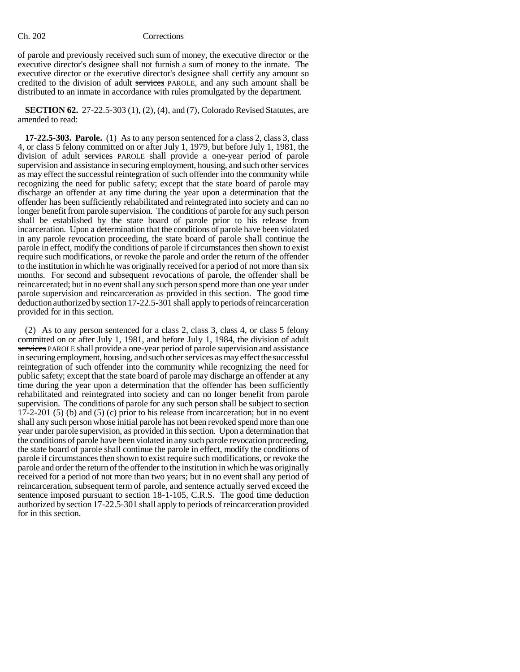of parole and previously received such sum of money, the executive director or the executive director's designee shall not furnish a sum of money to the inmate. The executive director or the executive director's designee shall certify any amount so credited to the division of adult services PAROLE, and any such amount shall be distributed to an inmate in accordance with rules promulgated by the department.

**SECTION 62.** 27-22.5-303 (1), (2), (4), and (7), Colorado Revised Statutes, are amended to read:

**17-22.5-303. Parole.** (1) As to any person sentenced for a class 2, class 3, class 4, or class 5 felony committed on or after July 1, 1979, but before July 1, 1981, the division of adult services PAROLE shall provide a one-year period of parole supervision and assistance in securing employment, housing, and such other services as may effect the successful reintegration of such offender into the community while recognizing the need for public safety; except that the state board of parole may discharge an offender at any time during the year upon a determination that the offender has been sufficiently rehabilitated and reintegrated into society and can no longer benefit from parole supervision. The conditions of parole for any such person shall be established by the state board of parole prior to his release from incarceration. Upon a determination that the conditions of parole have been violated in any parole revocation proceeding, the state board of parole shall continue the parole in effect, modify the conditions of parole if circumstances then shown to exist require such modifications, or revoke the parole and order the return of the offender to the institution in which he was originally received for a period of not more than six months. For second and subsequent revocations of parole, the offender shall be reincarcerated; but in no event shall any such person spend more than one year under parole supervision and reincarceration as provided in this section. The good time deduction authorized by section 17-22.5-301 shall apply to periods of reincarceration provided for in this section.

(2) As to any person sentenced for a class 2, class 3, class 4, or class 5 felony committed on or after July 1, 1981, and before July 1, 1984, the division of adult services PAROLE shall provide a one-year period of parole supervision and assistance in securing employment, housing, and such other services as may effect the successful reintegration of such offender into the community while recognizing the need for public safety; except that the state board of parole may discharge an offender at any time during the year upon a determination that the offender has been sufficiently rehabilitated and reintegrated into society and can no longer benefit from parole supervision. The conditions of parole for any such person shall be subject to section 17-2-201 (5) (b) and (5) (c) prior to his release from incarceration; but in no event shall any such person whose initial parole has not been revoked spend more than one year under parole supervision, as provided in this section. Upon a determination that the conditions of parole have been violated in any such parole revocation proceeding, the state board of parole shall continue the parole in effect, modify the conditions of parole if circumstances then shown to exist require such modifications, or revoke the parole and order the return of the offender to the institution in which he was originally received for a period of not more than two years; but in no event shall any period of reincarceration, subsequent term of parole, and sentence actually served exceed the sentence imposed pursuant to section 18-1-105, C.R.S. The good time deduction authorized by section 17-22.5-301 shall apply to periods of reincarceration provided for in this section.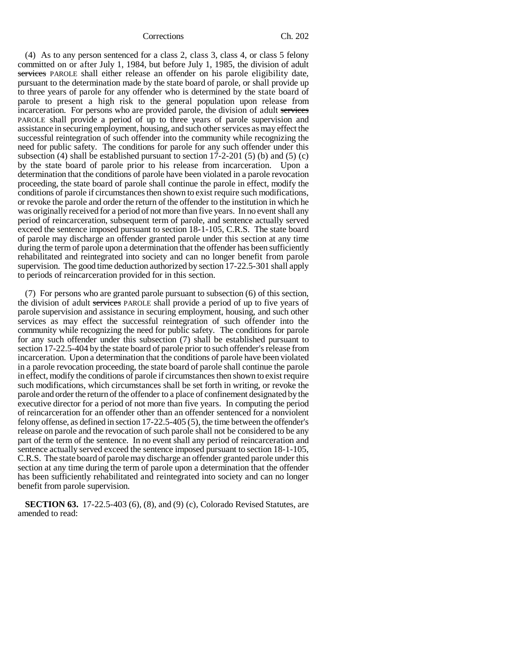(4) As to any person sentenced for a class 2, class 3, class 4, or class 5 felony committed on or after July 1, 1984, but before July 1, 1985, the division of adult services PAROLE shall either release an offender on his parole eligibility date, pursuant to the determination made by the state board of parole, or shall provide up to three years of parole for any offender who is determined by the state board of parole to present a high risk to the general population upon release from incarceration. For persons who are provided parole, the division of adult services PAROLE shall provide a period of up to three years of parole supervision and assistance in securing employment, housing, and such other services as may effect the successful reintegration of such offender into the community while recognizing the need for public safety. The conditions for parole for any such offender under this subsection (4) shall be established pursuant to section  $17$ -2-201 (5) (b) and (5) (c) by the state board of parole prior to his release from incarceration. Upon a determination that the conditions of parole have been violated in a parole revocation proceeding, the state board of parole shall continue the parole in effect, modify the conditions of parole if circumstances then shown to exist require such modifications, or revoke the parole and order the return of the offender to the institution in which he was originally received for a period of not more than five years. In no event shall any period of reincarceration, subsequent term of parole, and sentence actually served exceed the sentence imposed pursuant to section 18-1-105, C.R.S. The state board of parole may discharge an offender granted parole under this section at any time during the term of parole upon a determination that the offender has been sufficiently rehabilitated and reintegrated into society and can no longer benefit from parole supervision. The good time deduction authorized by section 17-22.5-301 shall apply to periods of reincarceration provided for in this section.

(7) For persons who are granted parole pursuant to subsection (6) of this section, the division of adult services PAROLE shall provide a period of up to five years of parole supervision and assistance in securing employment, housing, and such other services as may effect the successful reintegration of such offender into the community while recognizing the need for public safety. The conditions for parole for any such offender under this subsection (7) shall be established pursuant to section 17-22.5-404 by the state board of parole prior to such offender's release from incarceration. Upon a determination that the conditions of parole have been violated in a parole revocation proceeding, the state board of parole shall continue the parole in effect, modify the conditions of parole if circumstances then shown to exist require such modifications, which circumstances shall be set forth in writing, or revoke the parole and order the return of the offender to a place of confinement designated by the executive director for a period of not more than five years. In computing the period of reincarceration for an offender other than an offender sentenced for a nonviolent felony offense, as defined in section 17-22.5-405 (5), the time between the offender's release on parole and the revocation of such parole shall not be considered to be any part of the term of the sentence. In no event shall any period of reincarceration and sentence actually served exceed the sentence imposed pursuant to section 18-1-105, C.R.S. The state board of parole may discharge an offender granted parole under this section at any time during the term of parole upon a determination that the offender has been sufficiently rehabilitated and reintegrated into society and can no longer benefit from parole supervision.

**SECTION 63.** 17-22.5-403 (6), (8), and (9) (c), Colorado Revised Statutes, are amended to read: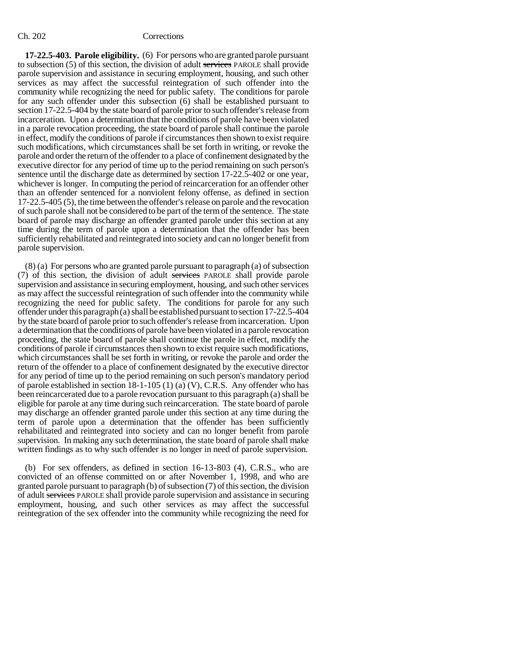**17-22.5-403. Parole eligibility.** (6) For persons who are granted parole pursuant to subsection (5) of this section, the division of adult services PAROLE shall provide parole supervision and assistance in securing employment, housing, and such other services as may affect the successful reintegration of such offender into the community while recognizing the need for public safety. The conditions for parole for any such offender under this subsection (6) shall be established pursuant to section 17-22.5-404 by the state board of parole prior to such offender's release from incarceration. Upon a determination that the conditions of parole have been violated in a parole revocation proceeding, the state board of parole shall continue the parole in effect, modify the conditions of parole if circumstances then shown to exist require such modifications, which circumstances shall be set forth in writing, or revoke the parole and order the return of the offender to a place of confinement designated by the executive director for any period of time up to the period remaining on such person's sentence until the discharge date as determined by section 17-22.5-402 or one year, whichever is longer. In computing the period of reincarceration for an offender other than an offender sentenced for a nonviolent felony offense, as defined in section 17-22.5-405 (5), the time between the offender's release on parole and the revocation of such parole shall not be considered to be part of the term of the sentence. The state board of parole may discharge an offender granted parole under this section at any time during the term of parole upon a determination that the offender has been sufficiently rehabilitated and reintegrated into society and can no longer benefit from parole supervision.

(8) (a) For persons who are granted parole pursuant to paragraph (a) of subsection (7) of this section, the division of adult services PAROLE shall provide parole supervision and assistance in securing employment, housing, and such other services as may affect the successful reintegration of such offender into the community while recognizing the need for public safety. The conditions for parole for any such offender under this paragraph (a) shall be established pursuant to section 17-22.5-404 by the state board of parole prior to such offender's release from incarceration. Upon a determination that the conditions of parole have been violated in a parole revocation proceeding, the state board of parole shall continue the parole in effect, modify the conditions of parole if circumstances then shown to exist require such modifications, which circumstances shall be set forth in writing, or revoke the parole and order the return of the offender to a place of confinement designated by the executive director for any period of time up to the period remaining on such person's mandatory period of parole established in section 18-1-105 (1) (a) (V), C.R.S. Any offender who has been reincarcerated due to a parole revocation pursuant to this paragraph (a) shall be eligible for parole at any time during such reincarceration. The state board of parole may discharge an offender granted parole under this section at any time during the term of parole upon a determination that the offender has been sufficiently rehabilitated and reintegrated into society and can no longer benefit from parole supervision. In making any such determination, the state board of parole shall make written findings as to why such offender is no longer in need of parole supervision.

(b) For sex offenders, as defined in section 16-13-803 (4), C.R.S., who are convicted of an offense committed on or after November 1, 1998, and who are granted parole pursuant to paragraph (b) of subsection (7) of this section, the division of adult services PAROLE shall provide parole supervision and assistance in securing employment, housing, and such other services as may affect the successful reintegration of the sex offender into the community while recognizing the need for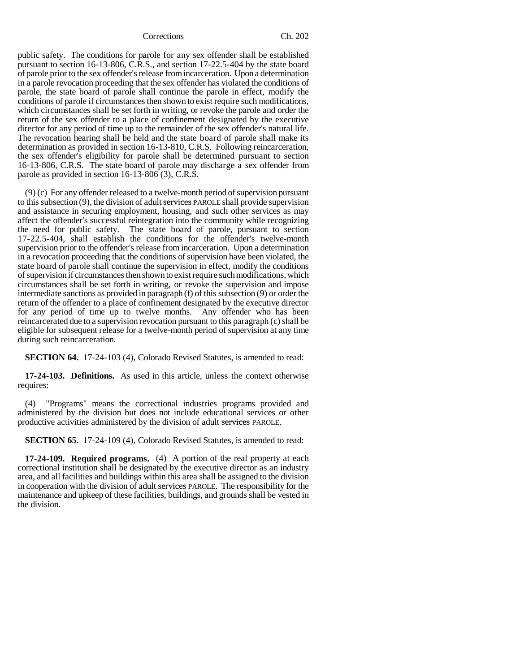public safety. The conditions for parole for any sex offender shall be established pursuant to section 16-13-806, C.R.S., and section 17-22.5-404 by the state board of parole prior to the sex offender's release from incarceration. Upon a determination in a parole revocation proceeding that the sex offender has violated the conditions of parole, the state board of parole shall continue the parole in effect, modify the conditions of parole if circumstances then shown to exist require such modifications, which circumstances shall be set forth in writing, or revoke the parole and order the return of the sex offender to a place of confinement designated by the executive director for any period of time up to the remainder of the sex offender's natural life. The revocation hearing shall be held and the state board of parole shall make its determination as provided in section 16-13-810, C.R.S. Following reincarceration, the sex offender's eligibility for parole shall be determined pursuant to section 16-13-806, C.R.S. The state board of parole may discharge a sex offender from parole as provided in section 16-13-806 (3), C.R.S.

(9) (c) For any offender released to a twelve-month period of supervision pursuant to this subsection (9), the division of adult services PAROLE shall provide supervision and assistance in securing employment, housing, and such other services as may affect the offender's successful reintegration into the community while recognizing the need for public safety. The state board of parole, pursuant to section 17-22.5-404, shall establish the conditions for the offender's twelve-month supervision prior to the offender's release from incarceration. Upon a determination in a revocation proceeding that the conditions of supervision have been violated, the state board of parole shall continue the supervision in effect, modify the conditions of supervision if circumstances then shown to exist require such modifications, which circumstances shall be set forth in writing, or revoke the supervision and impose intermediate sanctions as provided in paragraph (f) of this subsection (9) or order the return of the offender to a place of confinement designated by the executive director for any period of time up to twelve months. Any offender who has been reincarcerated due to a supervision revocation pursuant to this paragraph (c) shall be eligible for subsequent release for a twelve-month period of supervision at any time during such reincarceration.

**SECTION 64.** 17-24-103 (4), Colorado Revised Statutes, is amended to read:

**17-24-103. Definitions.** As used in this article, unless the context otherwise requires:

(4) "Programs" means the correctional industries programs provided and administered by the division but does not include educational services or other productive activities administered by the division of adult services PAROLE.

**SECTION 65.** 17-24-109 (4), Colorado Revised Statutes, is amended to read:

**17-24-109. Required programs.** (4) A portion of the real property at each correctional institution shall be designated by the executive director as an industry area, and all facilities and buildings within this area shall be assigned to the division in cooperation with the division of adult services PAROLE. The responsibility for the maintenance and upkeep of these facilities, buildings, and grounds shall be vested in the division.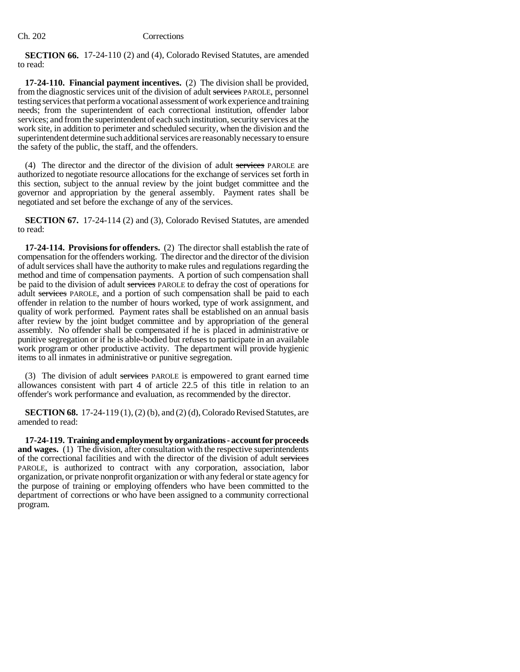**SECTION 66.** 17-24-110 (2) and (4), Colorado Revised Statutes, are amended to read:

**17-24-110. Financial payment incentives.** (2) The division shall be provided, from the diagnostic services unit of the division of adult services PAROLE, personnel testing services that perform a vocational assessment of work experience and training needs; from the superintendent of each correctional institution, offender labor services; and from the superintendent of each such institution, security services at the work site, in addition to perimeter and scheduled security, when the division and the superintendent determine such additional services are reasonably necessary to ensure the safety of the public, the staff, and the offenders.

(4) The director and the director of the division of adult services PAROLE are authorized to negotiate resource allocations for the exchange of services set forth in this section, subject to the annual review by the joint budget committee and the governor and appropriation by the general assembly. Payment rates shall be negotiated and set before the exchange of any of the services.

**SECTION 67.** 17-24-114 (2) and (3), Colorado Revised Statutes, are amended to read:

**17-24-114. Provisions for offenders.** (2) The director shall establish the rate of compensation for the offenders working. The director and the director of the division of adult services shall have the authority to make rules and regulations regarding the method and time of compensation payments. A portion of such compensation shall be paid to the division of adult services PAROLE to defray the cost of operations for adult services PAROLE, and a portion of such compensation shall be paid to each offender in relation to the number of hours worked, type of work assignment, and quality of work performed. Payment rates shall be established on an annual basis after review by the joint budget committee and by appropriation of the general assembly. No offender shall be compensated if he is placed in administrative or punitive segregation or if he is able-bodied but refuses to participate in an available work program or other productive activity. The department will provide hygienic items to all inmates in administrative or punitive segregation.

(3) The division of adult services PAROLE is empowered to grant earned time allowances consistent with part 4 of article 22.5 of this title in relation to an offender's work performance and evaluation, as recommended by the director.

**SECTION 68.** 17-24-119 (1), (2) (b), and (2) (d), Colorado Revised Statutes, are amended to read:

**17-24-119. Training and employment by organizations - account for proceeds and wages.** (1) The division, after consultation with the respective superintendents of the correctional facilities and with the director of the division of adult services PAROLE, is authorized to contract with any corporation, association, labor organization, or private nonprofit organization or with any federal or state agency for the purpose of training or employing offenders who have been committed to the department of corrections or who have been assigned to a community correctional program.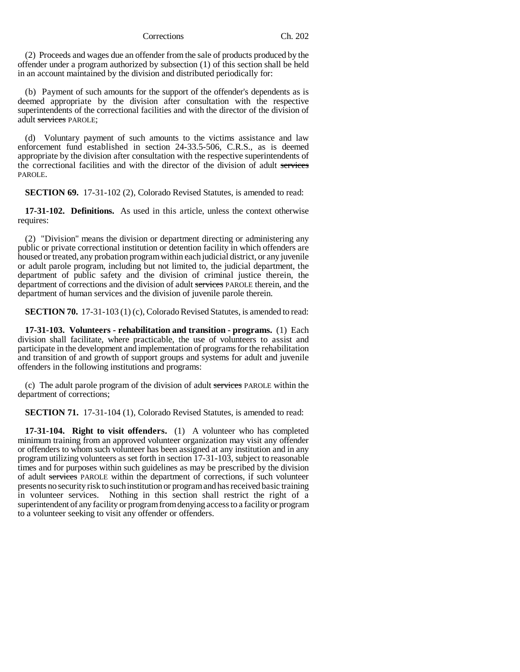(2) Proceeds and wages due an offender from the sale of products produced by the offender under a program authorized by subsection (1) of this section shall be held in an account maintained by the division and distributed periodically for:

(b) Payment of such amounts for the support of the offender's dependents as is deemed appropriate by the division after consultation with the respective superintendents of the correctional facilities and with the director of the division of adult services PAROLE;

(d) Voluntary payment of such amounts to the victims assistance and law enforcement fund established in section 24-33.5-506, C.R.S., as is deemed appropriate by the division after consultation with the respective superintendents of the correctional facilities and with the director of the division of adult services PAROLE.

**SECTION 69.** 17-31-102 (2), Colorado Revised Statutes, is amended to read:

**17-31-102. Definitions.** As used in this article, unless the context otherwise requires:

(2) "Division" means the division or department directing or administering any public or private correctional institution or detention facility in which offenders are housed or treated, any probation program within each judicial district, or any juvenile or adult parole program, including but not limited to, the judicial department, the department of public safety and the division of criminal justice therein, the department of corrections and the division of adult services PAROLE therein, and the department of human services and the division of juvenile parole therein.

**SECTION 70.** 17-31-103 (1) (c), Colorado Revised Statutes, is amended to read:

**17-31-103. Volunteers - rehabilitation and transition - programs.** (1) Each division shall facilitate, where practicable, the use of volunteers to assist and participate in the development and implementation of programs for the rehabilitation and transition of and growth of support groups and systems for adult and juvenile offenders in the following institutions and programs:

(c) The adult parole program of the division of adult services PAROLE within the department of corrections;

**SECTION 71.** 17-31-104 (1), Colorado Revised Statutes, is amended to read:

**17-31-104. Right to visit offenders.** (1) A volunteer who has completed minimum training from an approved volunteer organization may visit any offender or offenders to whom such volunteer has been assigned at any institution and in any program utilizing volunteers as set forth in section 17-31-103, subject to reasonable times and for purposes within such guidelines as may be prescribed by the division of adult services PAROLE within the department of corrections, if such volunteer presents no security risk to such institution or program and has received basic training in volunteer services. Nothing in this section shall restrict the right of a superintendent of any facility or program from denying access to a facility or program to a volunteer seeking to visit any offender or offenders.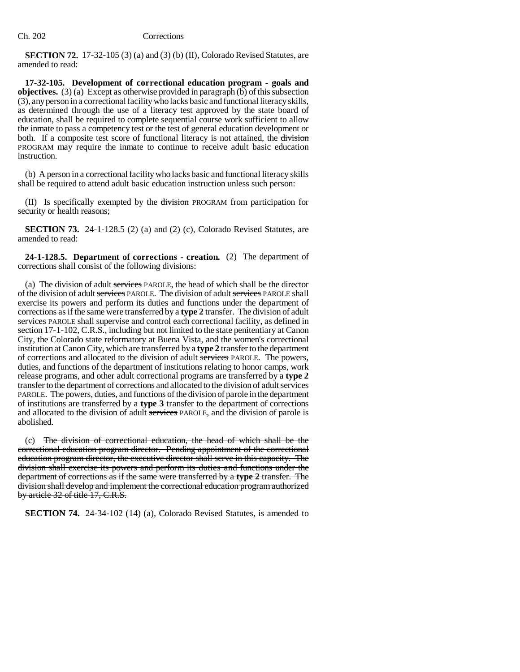**SECTION 72.** 17-32-105 (3) (a) and (3) (b) (II), Colorado Revised Statutes, are amended to read:

**17-32-105. Development of correctional education program - goals and objectives.** (3) (a) Except as otherwise provided in paragraph (b) of this subsection (3), any person in a correctional facility who lacks basic and functional literacy skills, as determined through the use of a literacy test approved by the state board of education, shall be required to complete sequential course work sufficient to allow the inmate to pass a competency test or the test of general education development or both. If a composite test score of functional literacy is not attained, the division PROGRAM may require the inmate to continue to receive adult basic education instruction.

(b) A person in a correctional facility who lacks basic and functional literacy skills shall be required to attend adult basic education instruction unless such person:

(II) Is specifically exempted by the division PROGRAM from participation for security or health reasons;

**SECTION 73.** 24-1-128.5 (2) (a) and (2) (c), Colorado Revised Statutes, are amended to read:

**24-1-128.5. Department of corrections - creation.** (2) The department of corrections shall consist of the following divisions:

(a) The division of adult services PAROLE, the head of which shall be the director of the division of adult services PAROLE. The division of adult services PAROLE shall exercise its powers and perform its duties and functions under the department of corrections as if the same were transferred by a **type 2** transfer. The division of adult services PAROLE shall supervise and control each correctional facility, as defined in section 17-1-102, C.R.S., including but not limited to the state penitentiary at Canon City, the Colorado state reformatory at Buena Vista, and the women's correctional institution at Canon City, which are transferred by a **type 2** transfer to the department of corrections and allocated to the division of adult services PAROLE. The powers, duties, and functions of the department of institutions relating to honor camps, work release programs, and other adult correctional programs are transferred by a **type 2** transfer to the department of corrections and allocated to the division of adult services PAROLE. The powers, duties, and functions of the division of parole in the department of institutions are transferred by a **type 3** transfer to the department of corrections and allocated to the division of adult services PAROLE, and the division of parole is abolished.

(c) The division of correctional education, the head of which shall be the correctional education program director. Pending appointment of the correctional education program director, the executive director shall serve in this capacity. The division shall exercise its powers and perform its duties and functions under the department of corrections as if the same were transferred by a **type 2** transfer. The division shall develop and implement the correctional education program authorized by article 32 of title 17, C.R.S.

**SECTION 74.** 24-34-102 (14) (a), Colorado Revised Statutes, is amended to